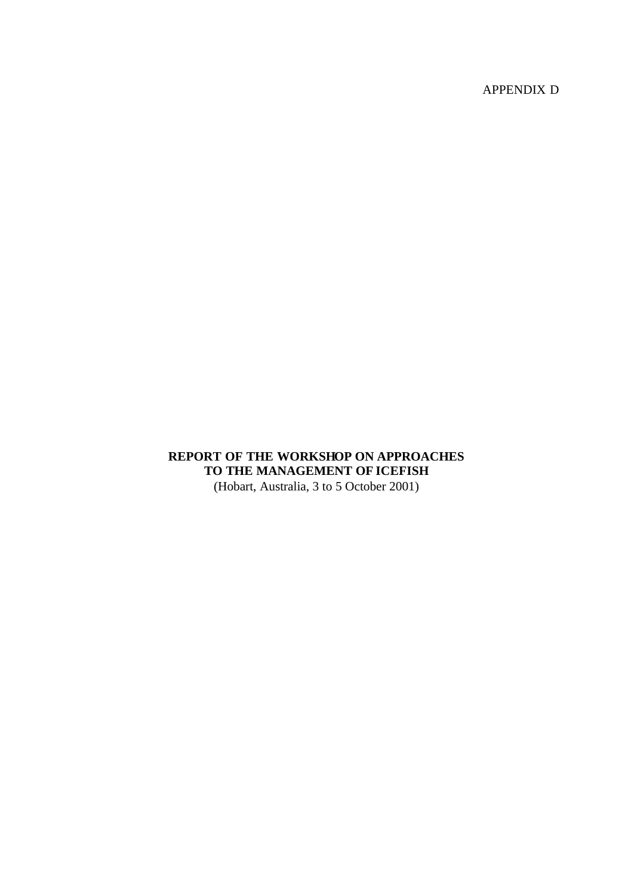APPENDIX D

## **REPORT OF THE WORKSHOP ON APPROACHES TO THE MANAGEMENT OF ICEFISH** (Hobart, Australia, 3 to 5 October 2001)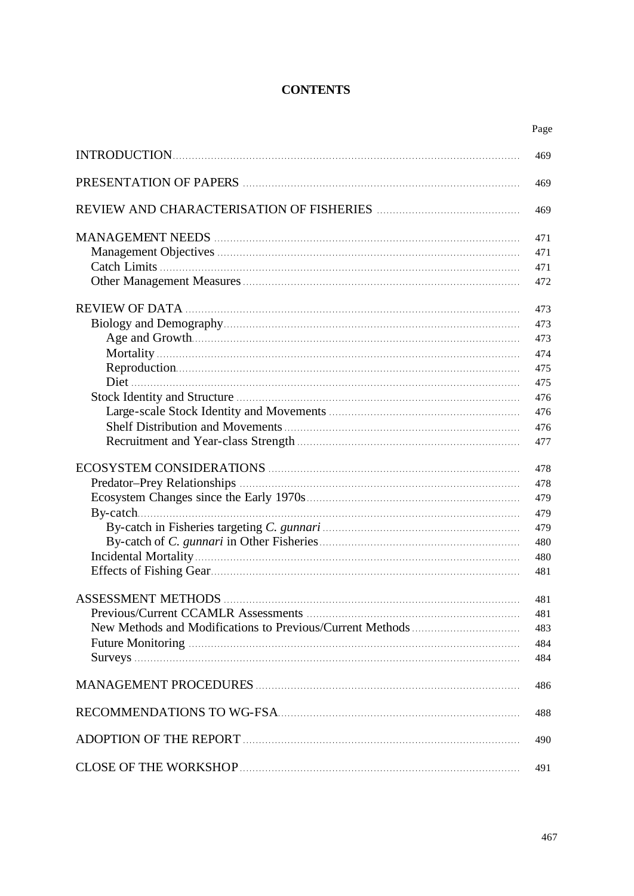## **CONTENTS**

|                           | Page |
|---------------------------|------|
|                           | 469  |
|                           | 469  |
|                           | 469  |
|                           | 471  |
|                           | 471  |
|                           | 471  |
|                           | 472  |
|                           | 473  |
|                           | 473  |
|                           | 473  |
|                           | 474  |
|                           | 475  |
|                           | 475  |
|                           | 476  |
|                           | 476  |
|                           | 476  |
|                           | 477  |
|                           | 478  |
|                           | 478  |
|                           | 479  |
|                           | 479  |
|                           | 479  |
|                           | 480  |
|                           | 480  |
|                           | 481  |
| <b>ASSESSMENT METHODS</b> | 481  |
|                           | 481  |
|                           | 483  |
|                           | 484  |
|                           | 484  |
|                           |      |
|                           | 486  |
|                           | 488  |
|                           | 490  |
|                           | 491  |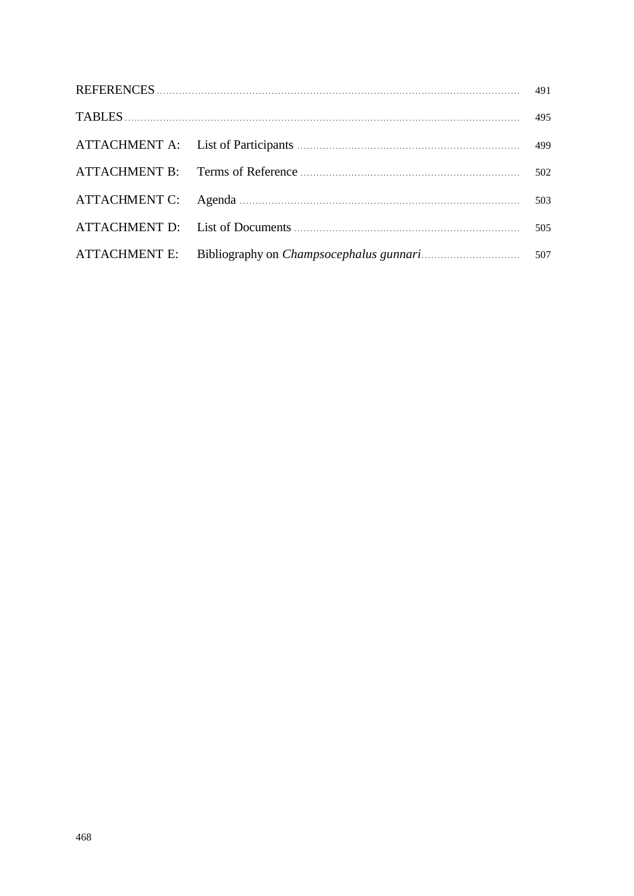|  | 491 |
|--|-----|
|  | 495 |
|  | 499 |
|  | 502 |
|  | 503 |
|  | 505 |
|  | 507 |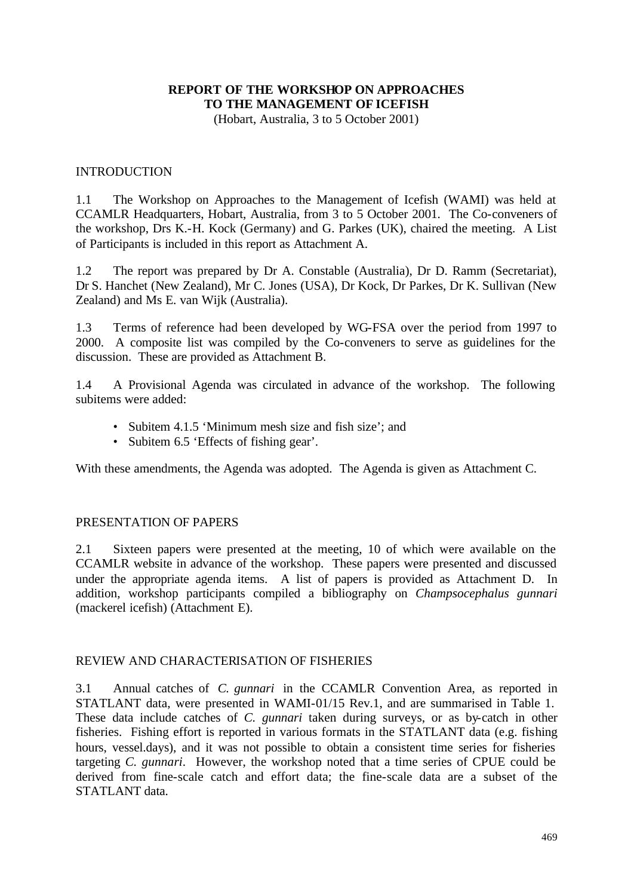## **REPORT OF THE WORKSHOP ON APPROACHES TO THE MANAGEMENT OF ICEFISH**

(Hobart, Australia, 3 to 5 October 2001)

#### **INTRODUCTION**

1.1 The Workshop on Approaches to the Management of Icefish (WAMI) was held at CCAMLR Headquarters, Hobart, Australia, from 3 to 5 October 2001. The Co-conveners of the workshop, Drs K.-H. Kock (Germany) and G. Parkes (UK), chaired the meeting. A List of Participants is included in this report as Attachment A.

1.2 The report was prepared by Dr A. Constable (Australia), Dr D. Ramm (Secretariat), Dr S. Hanchet (New Zealand), Mr C. Jones (USA), Dr Kock, Dr Parkes, Dr K. Sullivan (New Zealand) and Ms E. van Wijk (Australia).

1.3 Terms of reference had been developed by WG-FSA over the period from 1997 to 2000. A composite list was compiled by the Co-conveners to serve as guidelines for the discussion. These are provided as Attachment B.

1.4 A Provisional Agenda was circulated in advance of the workshop. The following subitems were added:

- Subitem 4.1.5 'Minimum mesh size and fish size'; and
- Subitem 6.5 'Effects of fishing gear'.

With these amendments, the Agenda was adopted. The Agenda is given as Attachment C.

#### PRESENTATION OF PAPERS

2.1 Sixteen papers were presented at the meeting, 10 of which were available on the CCAMLR website in advance of the workshop. These papers were presented and discussed under the appropriate agenda items. A list of papers is provided as Attachment D. In addition, workshop participants compiled a bibliography on *Champsocephalus gunnari* (mackerel icefish) (Attachment E).

#### REVIEW AND CHARACTERISATION OF FISHERIES

3.1 Annual catches of *C. gunnari* in the CCAMLR Convention Area, as reported in STATLANT data, were presented in WAMI-01/15 Rev.1, and are summarised in Table 1. These data include catches of *C. gunnari* taken during surveys, or as by-catch in other fisheries. Fishing effort is reported in various formats in the STATLANT data (e.g. fishing hours, vessel.days), and it was not possible to obtain a consistent time series for fisheries targeting *C. gunnari*. However, the workshop noted that a time series of CPUE could be derived from fine-scale catch and effort data; the fine-scale data are a subset of the STATLANT data.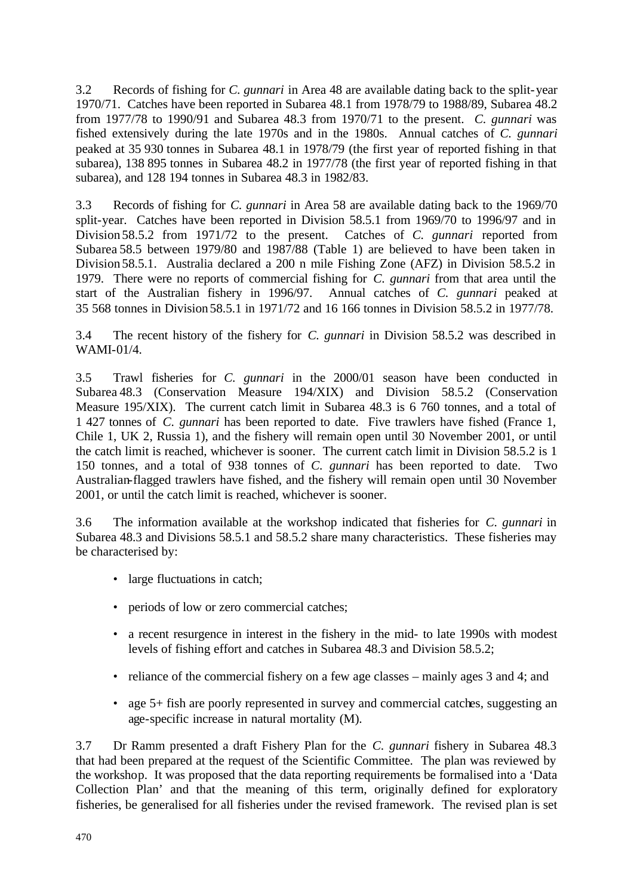3.2 Records of fishing for *C. gunnari* in Area 48 are available dating back to the split-year 1970/71. Catches have been reported in Subarea 48.1 from 1978/79 to 1988/89, Subarea 48.2 from 1977/78 to 1990/91 and Subarea 48.3 from 1970/71 to the present. *C. gunnari* was fished extensively during the late 1970s and in the 1980s. Annual catches of *C. gunnari* peaked at 35 930 tonnes in Subarea 48.1 in 1978/79 (the first year of reported fishing in that subarea), 138 895 tonnes in Subarea 48.2 in 1977/78 (the first year of reported fishing in that subarea), and 128 194 tonnes in Subarea 48.3 in 1982/83.

3.3 Records of fishing for *C. gunnari* in Area 58 are available dating back to the 1969/70 split-year. Catches have been reported in Division 58.5.1 from 1969/70 to 1996/97 and in Division 58.5.2 from 1971/72 to the present. Catches of *C. gunnari* reported from Subarea 58.5 between 1979/80 and 1987/88 (Table 1) are believed to have been taken in Division 58.5.1. Australia declared a 200 n mile Fishing Zone (AFZ) in Division 58.5.2 in 1979. There were no reports of commercial fishing for *C. gunnari* from that area until the start of the Australian fishery in 1996/97. Annual catches of *C. gunnari* peaked at 35 568 tonnes in Division 58.5.1 in 1971/72 and 16 166 tonnes in Division 58.5.2 in 1977/78.

3.4 The recent history of the fishery for *C. gunnari* in Division 58.5.2 was described in WAMI-01/4.

3.5 Trawl fisheries for *C. gunnari* in the 2000/01 season have been conducted in Subarea 48.3 (Conservation Measure 194/XIX) and Division 58.5.2 (Conservation Measure 195/XIX). The current catch limit in Subarea 48.3 is 6 760 tonnes, and a total of 1 427 tonnes of *C. gunnari* has been reported to date. Five trawlers have fished (France 1, Chile 1, UK 2, Russia 1), and the fishery will remain open until 30 November 2001, or until the catch limit is reached, whichever is sooner. The current catch limit in Division 58.5.2 is 1 150 tonnes, and a total of 938 tonnes of *C. gunnari* has been reported to date. Two Australian-flagged trawlers have fished, and the fishery will remain open until 30 November 2001, or until the catch limit is reached, whichever is sooner.

3.6 The information available at the workshop indicated that fisheries for *C. gunnari* in Subarea 48.3 and Divisions 58.5.1 and 58.5.2 share many characteristics. These fisheries may be characterised by:

- large fluctuations in catch;
- periods of low or zero commercial catches;
- a recent resurgence in interest in the fishery in the mid- to late 1990s with modest levels of fishing effort and catches in Subarea 48.3 and Division 58.5.2;
- reliance of the commercial fishery on a few age classes mainly ages 3 and 4; and
- age 5+ fish are poorly represented in survey and commercial catches, suggesting an age-specific increase in natural mortality (M).

3.7 Dr Ramm presented a draft Fishery Plan for the *C. gunnari* fishery in Subarea 48.3 that had been prepared at the request of the Scientific Committee. The plan was reviewed by the workshop. It was proposed that the data reporting requirements be formalised into a 'Data Collection Plan' and that the meaning of this term, originally defined for exploratory fisheries, be generalised for all fisheries under the revised framework. The revised plan is set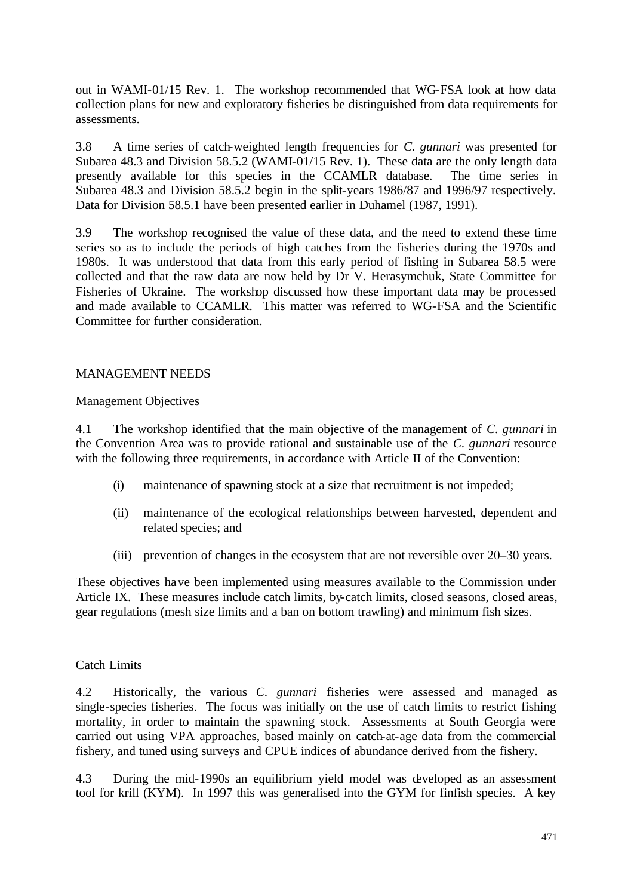out in WAMI-01/15 Rev. 1. The workshop recommended that WG-FSA look at how data collection plans for new and exploratory fisheries be distinguished from data requirements for assessments.

3.8 A time series of catch-weighted length frequencies for *C. gunnari* was presented for Subarea 48.3 and Division 58.5.2 (WAMI-01/15 Rev. 1). These data are the only length data presently available for this species in the CCAMLR database. The time series in Subarea 48.3 and Division 58.5.2 begin in the split-years 1986/87 and 1996/97 respectively. Data for Division 58.5.1 have been presented earlier in Duhamel (1987, 1991).

3.9 The workshop recognised the value of these data, and the need to extend these time series so as to include the periods of high catches from the fisheries during the 1970s and 1980s. It was understood that data from this early period of fishing in Subarea 58.5 were collected and that the raw data are now held by Dr V. Herasymchuk, State Committee for Fisheries of Ukraine. The workshop discussed how these important data may be processed and made available to CCAMLR. This matter was referred to WG-FSA and the Scientific Committee for further consideration.

#### MANAGEMENT NEEDS

#### Management Objectives

4.1 The workshop identified that the main objective of the management of *C. gunnari* in the Convention Area was to provide rational and sustainable use of the *C. gunnari* resource with the following three requirements, in accordance with Article II of the Convention:

- (i) maintenance of spawning stock at a size that recruitment is not impeded;
- (ii) maintenance of the ecological relationships between harvested, dependent and related species; and
- (iii) prevention of changes in the ecosystem that are not reversible over 20–30 years.

These objectives have been implemented using measures available to the Commission under Article IX. These measures include catch limits, by-catch limits, closed seasons, closed areas, gear regulations (mesh size limits and a ban on bottom trawling) and minimum fish sizes.

#### Catch Limits

4.2 Historically, the various *C. gunnari* fisheries were assessed and managed as single-species fisheries. The focus was initially on the use of catch limits to restrict fishing mortality, in order to maintain the spawning stock. Assessments at South Georgia were carried out using VPA approaches, based mainly on catch-at-age data from the commercial fishery, and tuned using surveys and CPUE indices of abundance derived from the fishery.

4.3 During the mid-1990s an equilibrium yield model was developed as an assessment tool for krill (KYM). In 1997 this was generalised into the GYM for finfish species. A key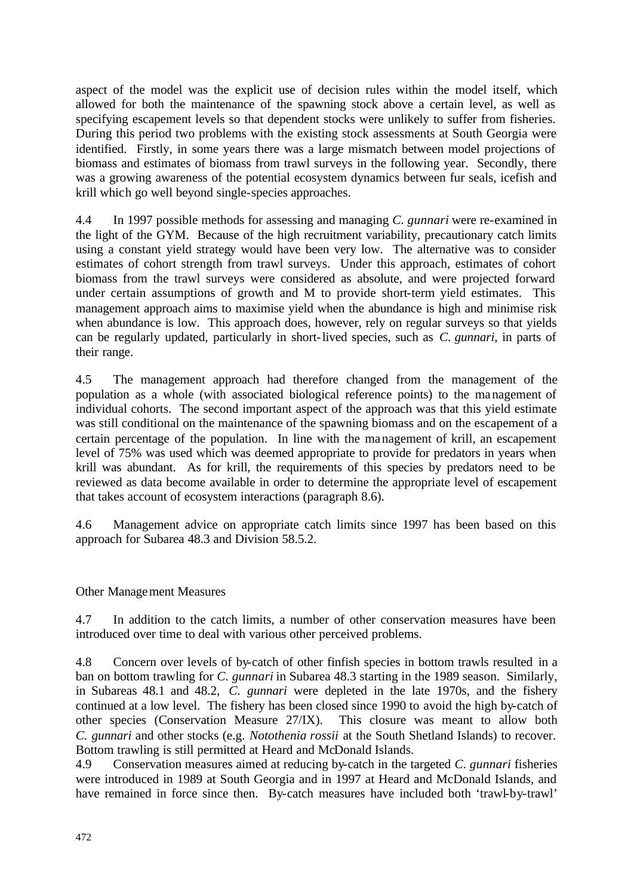aspect of the model was the explicit use of decision rules within the model itself, which allowed for both the maintenance of the spawning stock above a certain level, as well as specifying escapement levels so that dependent stocks were unlikely to suffer from fisheries. During this period two problems with the existing stock assessments at South Georgia were identified. Firstly, in some years there was a large mismatch between model projections of biomass and estimates of biomass from trawl surveys in the following year. Secondly, there was a growing awareness of the potential ecosystem dynamics between fur seals, icefish and krill which go well beyond single-species approaches.

4.4 In 1997 possible methods for assessing and managing *C. gunnari* were re-examined in the light of the GYM. Because of the high recruitment variability, precautionary catch limits using a constant yield strategy would have been very low. The alternative was to consider estimates of cohort strength from trawl surveys. Under this approach, estimates of cohort biomass from the trawl surveys were considered as absolute, and were projected forward under certain assumptions of growth and M to provide short-term yield estimates. This management approach aims to maximise yield when the abundance is high and minimise risk when abundance is low. This approach does, however, rely on regular surveys so that yields can be regularly updated, particularly in short-lived species, such as *C. gunnari*, in parts of their range.

4.5 The management approach had therefore changed from the management of the population as a whole (with associated biological reference points) to the management of individual cohorts. The second important aspect of the approach was that this yield estimate was still conditional on the maintenance of the spawning biomass and on the escapement of a certain percentage of the population. In line with the management of krill, an escapement level of 75% was used which was deemed appropriate to provide for predators in years when krill was abundant. As for krill, the requirements of this species by predators need to be reviewed as data become available in order to determine the appropriate level of escapement that takes account of ecosystem interactions (paragraph 8.6).

4.6 Management advice on appropriate catch limits since 1997 has been based on this approach for Subarea 48.3 and Division 58.5.2.

## Other Management Measures

4.7 In addition to the catch limits, a number of other conservation measures have been introduced over time to deal with various other perceived problems.

4.8 Concern over levels of by-catch of other finfish species in bottom trawls resulted in a ban on bottom trawling for *C. gunnari* in Subarea 48.3 starting in the 1989 season. Similarly, in Subareas 48.1 and 48.2, *C. gunnari* were depleted in the late 1970s, and the fishery continued at a low level. The fishery has been closed since 1990 to avoid the high by-catch of other species (Conservation Measure 27/IX). This closure was meant to allow both *C. gunnari* and other stocks (e.g. *Notothenia rossii* at the South Shetland Islands) to recover. Bottom trawling is still permitted at Heard and McDonald Islands.

4.9 Conservation measures aimed at reducing by-catch in the targeted *C. gunnari* fisheries were introduced in 1989 at South Georgia and in 1997 at Heard and McDonald Islands, and have remained in force since then. By-catch measures have included both 'trawl-by-trawl'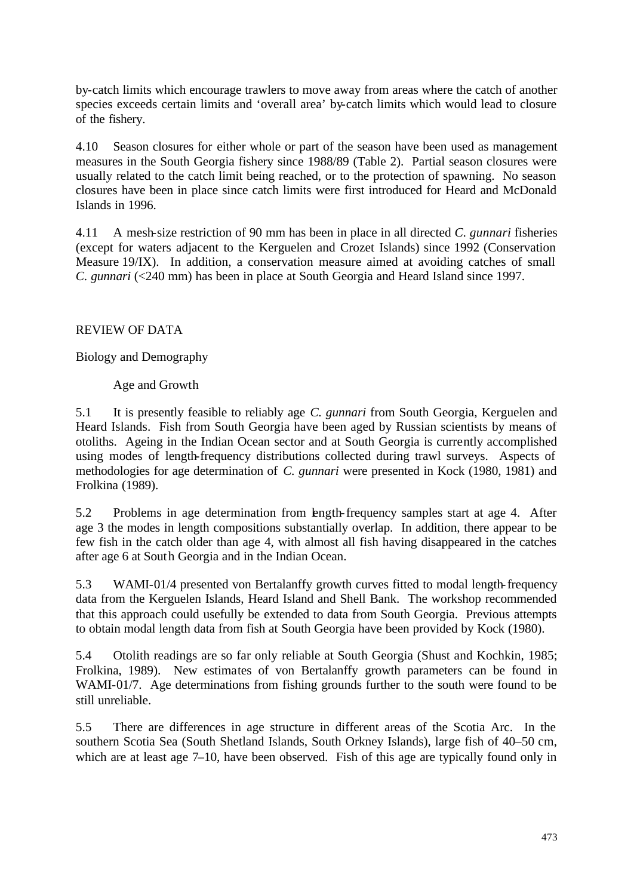by-catch limits which encourage trawlers to move away from areas where the catch of another species exceeds certain limits and 'overall area' by-catch limits which would lead to closure of the fishery.

4.10 Season closures for either whole or part of the season have been used as management measures in the South Georgia fishery since 1988/89 (Table 2). Partial season closures were usually related to the catch limit being reached, or to the protection of spawning. No season closures have been in place since catch limits were first introduced for Heard and McDonald Islands in 1996.

4.11 A mesh-size restriction of 90 mm has been in place in all directed *C. gunnari* fisheries (except for waters adjacent to the Kerguelen and Crozet Islands) since 1992 (Conservation Measure 19/IX). In addition, a conservation measure aimed at avoiding catches of small *C. gunnari* (<240 mm) has been in place at South Georgia and Heard Island since 1997.

## REVIEW OF DATA

Biology and Demography

Age and Growth

5.1 It is presently feasible to reliably age *C. gunnari* from South Georgia, Kerguelen and Heard Islands. Fish from South Georgia have been aged by Russian scientists by means of otoliths. Ageing in the Indian Ocean sector and at South Georgia is currently accomplished using modes of length-frequency distributions collected during trawl surveys. Aspects of methodologies for age determination of *C. gunnari* were presented in Kock (1980, 1981) and Frolkina (1989).

5.2 Problems in age determination from length-frequency samples start at age 4. After age 3 the modes in length compositions substantially overlap. In addition, there appear to be few fish in the catch older than age 4, with almost all fish having disappeared in the catches after age 6 at South Georgia and in the Indian Ocean.

5.3 WAMI-01/4 presented von Bertalanffy growth curves fitted to modal length-frequency data from the Kerguelen Islands, Heard Island and Shell Bank. The workshop recommended that this approach could usefully be extended to data from South Georgia. Previous attempts to obtain modal length data from fish at South Georgia have been provided by Kock (1980).

5.4 Otolith readings are so far only reliable at South Georgia (Shust and Kochkin, 1985; Frolkina, 1989). New estimates of von Bertalanffy growth parameters can be found in WAMI-01/7. Age determinations from fishing grounds further to the south were found to be still unreliable.

5.5 There are differences in age structure in different areas of the Scotia Arc. In the southern Scotia Sea (South Shetland Islands, South Orkney Islands), large fish of 40–50 cm, which are at least age 7–10, have been observed. Fish of this age are typically found only in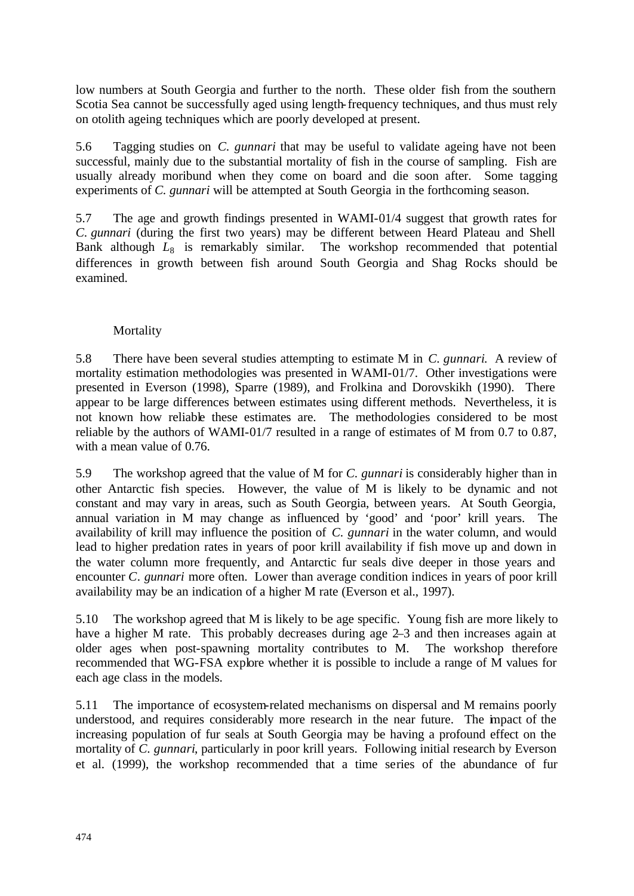low numbers at South Georgia and further to the north. These older fish from the southern Scotia Sea cannot be successfully aged using length-frequency techniques, and thus must rely on otolith ageing techniques which are poorly developed at present.

5.6 Tagging studies on *C. gunnari* that may be useful to validate ageing have not been successful, mainly due to the substantial mortality of fish in the course of sampling. Fish are usually already moribund when they come on board and die soon after. Some tagging experiments of *C. gunnari* will be attempted at South Georgia in the forthcoming season.

5.7 The age and growth findings presented in WAMI-01/4 suggest that growth rates for *C. gunnari* (during the first two years) may be different between Heard Plateau and Shell Bank although  $L_8$  is remarkably similar. The workshop recommended that potential differences in growth between fish around South Georgia and Shag Rocks should be examined.

## Mortality

5.8 There have been several studies attempting to estimate M in *C. gunnari*. A review of mortality estimation methodologies was presented in WAMI-01/7. Other investigations were presented in Everson (1998), Sparre (1989), and Frolkina and Dorovskikh (1990). There appear to be large differences between estimates using different methods. Nevertheless, it is not known how reliable these estimates are. The methodologies considered to be most reliable by the authors of WAMI-01/7 resulted in a range of estimates of M from 0.7 to 0.87, with a mean value of 0.76.

5.9 The workshop agreed that the value of M for *C. gunnari* is considerably higher than in other Antarctic fish species. However, the value of M is likely to be dynamic and not constant and may vary in areas, such as South Georgia, between years. At South Georgia, annual variation in M may change as influenced by 'good' and 'poor' krill years. The availability of krill may influence the position of *C. gunnari* in the water column, and would lead to higher predation rates in years of poor krill availability if fish move up and down in the water column more frequently, and Antarctic fur seals dive deeper in those years and encounter *C. gunnari* more often. Lower than average condition indices in years of poor krill availability may be an indication of a higher M rate (Everson et al., 1997).

5.10 The workshop agreed that M is likely to be age specific. Young fish are more likely to have a higher M rate. This probably decreases during age 2–3 and then increases again at older ages when post-spawning mortality contributes to M. The workshop therefore recommended that WG-FSA explore whether it is possible to include a range of M values for each age class in the models.

5.11 The importance of ecosystem-related mechanisms on dispersal and M remains poorly understood, and requires considerably more research in the near future. The impact of the increasing population of fur seals at South Georgia may be having a profound effect on the mortality of *C. gunnari*, particularly in poor krill years. Following initial research by Everson et al. (1999), the workshop recommended that a time series of the abundance of fur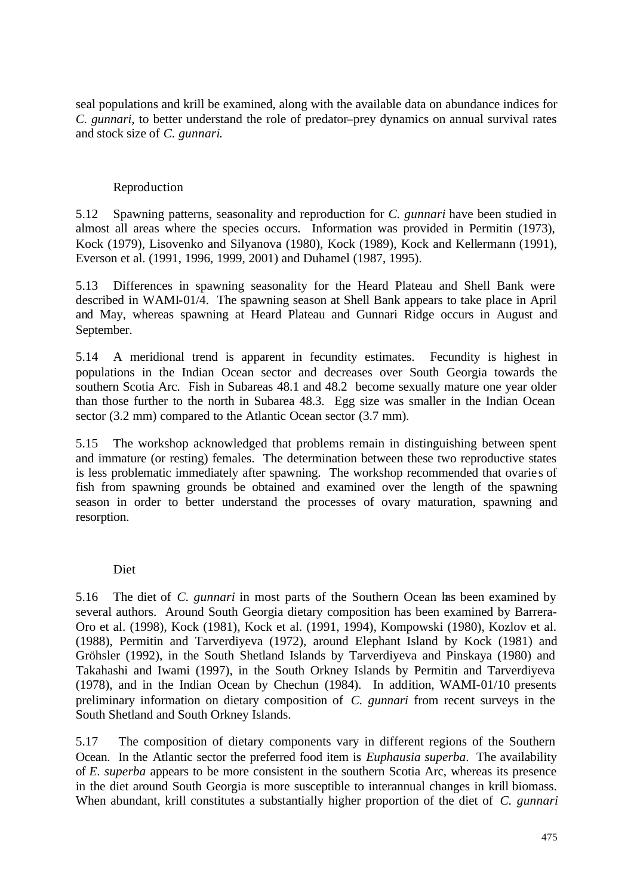seal populations and krill be examined, along with the available data on abundance indices for *C. gunnari*, to better understand the role of predator–prey dynamics on annual survival rates and stock size of *C. gunnari*.

## Reproduction

5.12 Spawning patterns, seasonality and reproduction for *C. gunnari* have been studied in almost all areas where the species occurs. Information was provided in Permitin (1973), Kock (1979), Lisovenko and Silyanova (1980), Kock (1989), Kock and Kellermann (1991), Everson et al. (1991, 1996, 1999, 2001) and Duhamel (1987, 1995).

5.13 Differences in spawning seasonality for the Heard Plateau and Shell Bank were described in WAMI-01/4. The spawning season at Shell Bank appears to take place in April and May, whereas spawning at Heard Plateau and Gunnari Ridge occurs in August and September.

5.14 A meridional trend is apparent in fecundity estimates. Fecundity is highest in populations in the Indian Ocean sector and decreases over South Georgia towards the southern Scotia Arc. Fish in Subareas 48.1 and 48.2 become sexually mature one year older than those further to the north in Subarea 48.3. Egg size was smaller in the Indian Ocean sector (3.2 mm) compared to the Atlantic Ocean sector (3.7 mm).

5.15 The workshop acknowledged that problems remain in distinguishing between spent and immature (or resting) females. The determination between these two reproductive states is less problematic immediately after spawning. The workshop recommended that ovarie s of fish from spawning grounds be obtained and examined over the length of the spawning season in order to better understand the processes of ovary maturation, spawning and resorption.

## Diet

5.16 The diet of *C. gunnari* in most parts of the Southern Ocean has been examined by several authors. Around South Georgia dietary composition has been examined by Barrera-Oro et al. (1998), Kock (1981), Kock et al. (1991, 1994), Kompowski (1980), Kozlov et al. (1988), Permitin and Tarverdiyeva (1972), around Elephant Island by Kock (1981) and Gröhsler (1992), in the South Shetland Islands by Tarverdiyeva and Pinskaya (1980) and Takahashi and Iwami (1997), in the South Orkney Islands by Permitin and Tarverdiyeva (1978), and in the Indian Ocean by Chechun (1984). In addition, WAMI-01/10 presents preliminary information on dietary composition of *C. gunnari* from recent surveys in the South Shetland and South Orkney Islands.

5.17 The composition of dietary components vary in different regions of the Southern Ocean. In the Atlantic sector the preferred food item is *Euphausia superba*. The availability of *E. superba* appears to be more consistent in the southern Scotia Arc, whereas its presence in the diet around South Georgia is more susceptible to interannual changes in krill biomass. When abundant, krill constitutes a substantially higher proportion of the diet of *C. gunnari*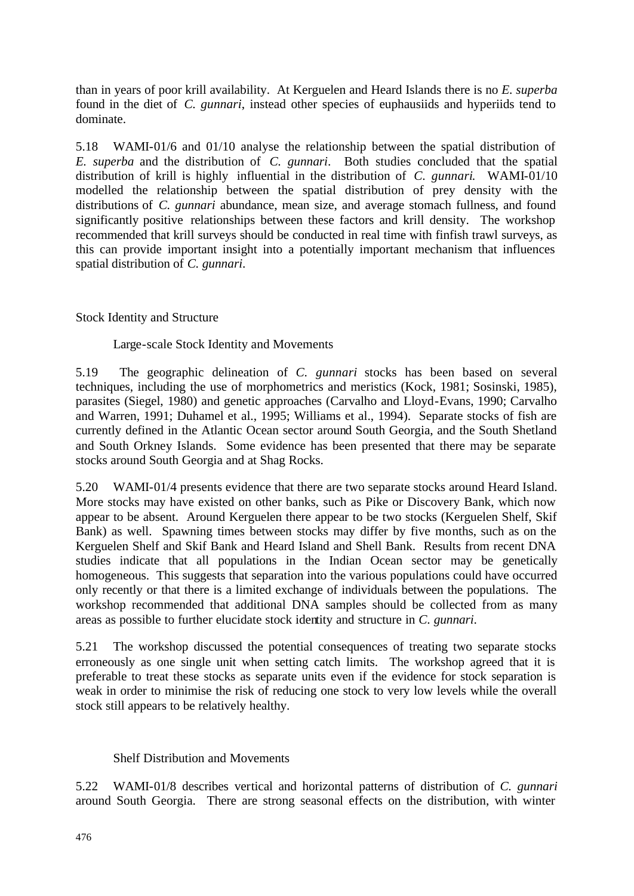than in years of poor krill availability. At Kerguelen and Heard Islands there is no *E. superba* found in the diet of *C. gunnari*, instead other species of euphausiids and hyperiids tend to dominate.

5.18 WAMI-01/6 and 01/10 analyse the relationship between the spatial distribution of *E. superba* and the distribution of *C. gunnari*. Both studies concluded that the spatial distribution of krill is highly influential in the distribution of *C. gunnari*. WAMI-01/10 modelled the relationship between the spatial distribution of prey density with the distributions of *C. gunnari* abundance, mean size, and average stomach fullness, and found significantly positive relationships between these factors and krill density. The workshop recommended that krill surveys should be conducted in real time with finfish trawl surveys, as this can provide important insight into a potentially important mechanism that influences spatial distribution of *C. gunnari*.

Stock Identity and Structure

## Large-scale Stock Identity and Movements

5.19 The geographic delineation of *C. gunnari* stocks has been based on several techniques, including the use of morphometrics and meristics (Kock, 1981; Sosinski, 1985), parasites (Siegel, 1980) and genetic approaches (Carvalho and Lloyd-Evans, 1990; Carvalho and Warren, 1991; Duhamel et al., 1995; Williams et al., 1994). Separate stocks of fish are currently defined in the Atlantic Ocean sector around South Georgia, and the South Shetland and South Orkney Islands. Some evidence has been presented that there may be separate stocks around South Georgia and at Shag Rocks.

5.20 WAMI-01/4 presents evidence that there are two separate stocks around Heard Island. More stocks may have existed on other banks, such as Pike or Discovery Bank, which now appear to be absent. Around Kerguelen there appear to be two stocks (Kerguelen Shelf, Skif Bank) as well. Spawning times between stocks may differ by five months, such as on the Kerguelen Shelf and Skif Bank and Heard Island and Shell Bank. Results from recent DNA studies indicate that all populations in the Indian Ocean sector may be genetically homogeneous. This suggests that separation into the various populations could have occurred only recently or that there is a limited exchange of individuals between the populations. The workshop recommended that additional DNA samples should be collected from as many areas as possible to further elucidate stock identity and structure in *C. gunnari*.

5.21 The workshop discussed the potential consequences of treating two separate stocks erroneously as one single unit when setting catch limits. The workshop agreed that it is preferable to treat these stocks as separate units even if the evidence for stock separation is weak in order to minimise the risk of reducing one stock to very low levels while the overall stock still appears to be relatively healthy.

## Shelf Distribution and Movements

5.22 WAMI-01/8 describes vertical and horizontal patterns of distribution of *C. gunnari* around South Georgia. There are strong seasonal effects on the distribution, with winter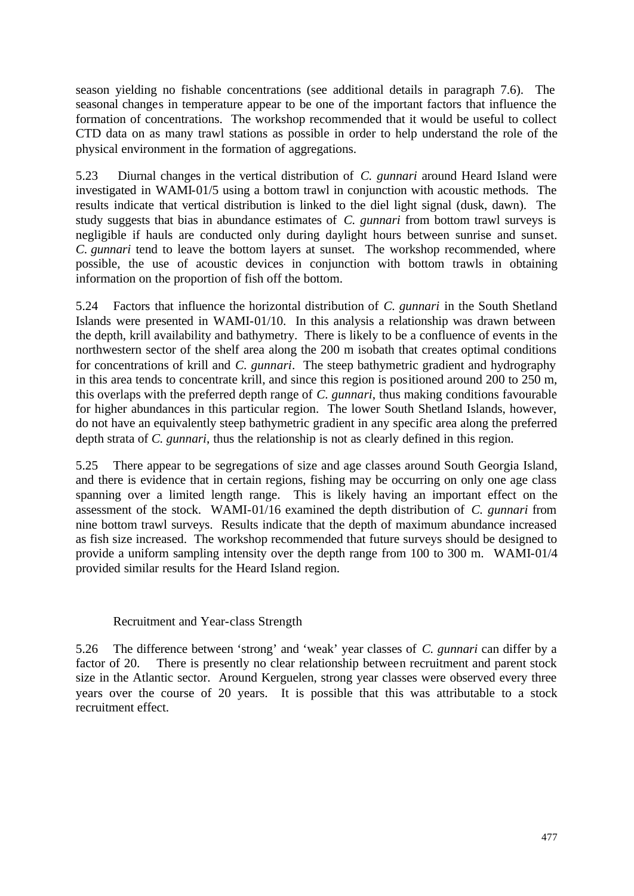season yielding no fishable concentrations (see additional details in paragraph 7.6). The seasonal changes in temperature appear to be one of the important factors that influence the formation of concentrations. The workshop recommended that it would be useful to collect CTD data on as many trawl stations as possible in order to help understand the role of the physical environment in the formation of aggregations.

5.23 Diurnal changes in the vertical distribution of *C. gunnari* around Heard Island were investigated in WAMI-01/5 using a bottom trawl in conjunction with acoustic methods. The results indicate that vertical distribution is linked to the diel light signal (dusk, dawn). The study suggests that bias in abundance estimates of *C. gunnari* from bottom trawl surveys is negligible if hauls are conducted only during daylight hours between sunrise and sunset. *C. gunnari* tend to leave the bottom layers at sunset. The workshop recommended, where possible, the use of acoustic devices in conjunction with bottom trawls in obtaining information on the proportion of fish off the bottom.

5.24 Factors that influence the horizontal distribution of *C. gunnari* in the South Shetland Islands were presented in WAMI-01/10. In this analysis a relationship was drawn between the depth, krill availability and bathymetry. There is likely to be a confluence of events in the northwestern sector of the shelf area along the 200 m isobath that creates optimal conditions for concentrations of krill and *C. gunnari*. The steep bathymetric gradient and hydrography in this area tends to concentrate krill, and since this region is positioned around 200 to 250 m, this overlaps with the preferred depth range of *C. gunnari*, thus making conditions favourable for higher abundances in this particular region. The lower South Shetland Islands, however, do not have an equivalently steep bathymetric gradient in any specific area along the preferred depth strata of *C. gunnari*, thus the relationship is not as clearly defined in this region.

5.25 There appear to be segregations of size and age classes around South Georgia Island, and there is evidence that in certain regions, fishing may be occurring on only one age class spanning over a limited length range. This is likely having an important effect on the assessment of the stock. WAMI-01/16 examined the depth distribution of *C. gunnari* from nine bottom trawl surveys. Results indicate that the depth of maximum abundance increased as fish size increased. The workshop recommended that future surveys should be designed to provide a uniform sampling intensity over the depth range from 100 to 300 m. WAMI-01/4 provided similar results for the Heard Island region.

#### Recruitment and Year-class Strength

5.26 The difference between 'strong' and 'weak' year classes of *C. gunnari* can differ by a factor of 20. There is presently no clear relationship between recruitment and parent stock size in the Atlantic sector. Around Kerguelen, strong year classes were observed every three years over the course of 20 years. It is possible that this was attributable to a stock recruitment effect.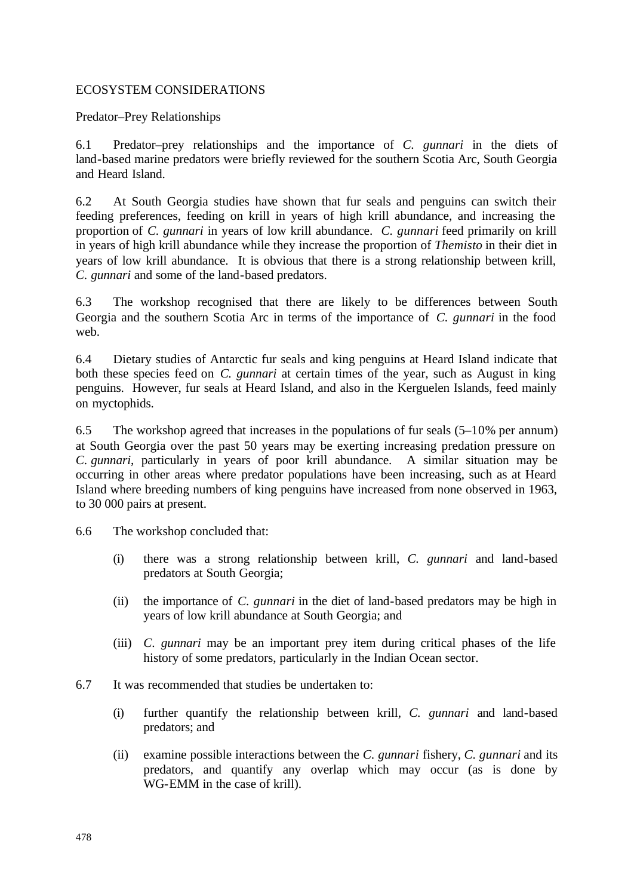### ECOSYSTEM CONSIDERATIONS

Predator–Prey Relationships

6.1 Predator–prey relationships and the importance of *C. gunnari* in the diets of land-based marine predators were briefly reviewed for the southern Scotia Arc, South Georgia and Heard Island.

6.2 At South Georgia studies have shown that fur seals and penguins can switch their feeding preferences, feeding on krill in years of high krill abundance, and increasing the proportion of *C. gunnari* in years of low krill abundance. *C. gunnari* feed primarily on krill in years of high krill abundance while they increase the proportion of *Themisto* in their diet in years of low krill abundance. It is obvious that there is a strong relationship between krill, *C. gunnari* and some of the land-based predators.

6.3 The workshop recognised that there are likely to be differences between South Georgia and the southern Scotia Arc in terms of the importance of *C. gunnari* in the food web.

6.4 Dietary studies of Antarctic fur seals and king penguins at Heard Island indicate that both these species feed on *C. gunnari* at certain times of the year, such as August in king penguins. However, fur seals at Heard Island, and also in the Kerguelen Islands, feed mainly on myctophids.

6.5 The workshop agreed that increases in the populations of fur seals (5–10% per annum) at South Georgia over the past 50 years may be exerting increasing predation pressure on *C. gunnari*, particularly in years of poor krill abundance. A similar situation may be occurring in other areas where predator populations have been increasing, such as at Heard Island where breeding numbers of king penguins have increased from none observed in 1963, to 30 000 pairs at present.

6.6 The workshop concluded that:

- (i) there was a strong relationship between krill, *C. gunnari* and land-based predators at South Georgia;
- (ii) the importance of *C. gunnari* in the diet of land-based predators may be high in years of low krill abundance at South Georgia; and
- (iii) *C. gunnari* may be an important prey item during critical phases of the life history of some predators, particularly in the Indian Ocean sector.
- 6.7 It was recommended that studies be undertaken to:
	- (i) further quantify the relationship between krill, *C. gunnari* and land-based predators; and
	- (ii) examine possible interactions between the *C. gunnari* fishery, *C. gunnari* and its predators, and quantify any overlap which may occur (as is done by WG-EMM in the case of krill).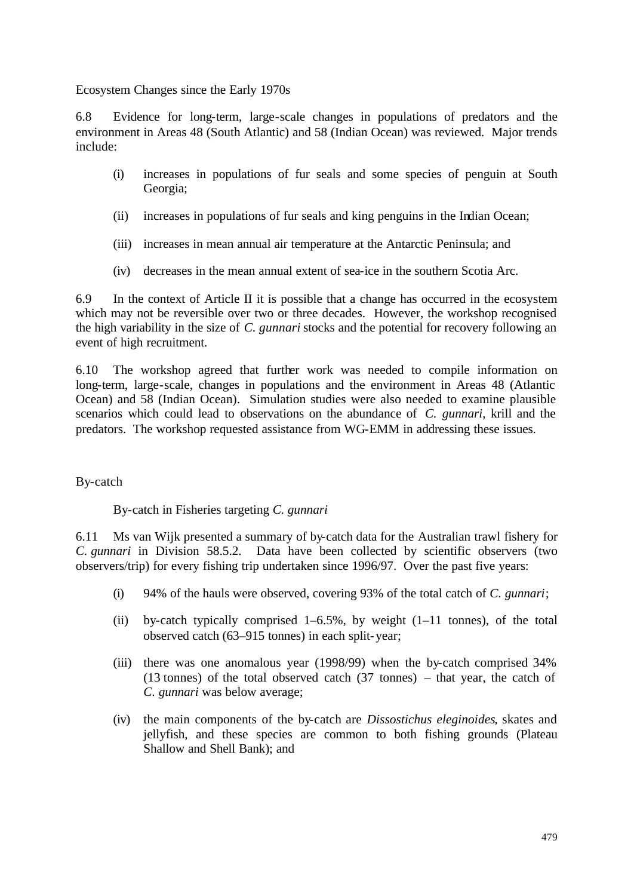Ecosystem Changes since the Early 1970s

6.8 Evidence for long-term, large-scale changes in populations of predators and the environment in Areas 48 (South Atlantic) and 58 (Indian Ocean) was reviewed. Major trends include:

- (i) increases in populations of fur seals and some species of penguin at South Georgia;
- (ii) increases in populations of fur seals and king penguins in the Indian Ocean;
- (iii) increases in mean annual air temperature at the Antarctic Peninsula; and
- (iv) decreases in the mean annual extent of sea-ice in the southern Scotia Arc.

6.9 In the context of Article II it is possible that a change has occurred in the ecosystem which may not be reversible over two or three decades. However, the workshop recognised the high variability in the size of *C. gunnari* stocks and the potential for recovery following an event of high recruitment.

6.10 The workshop agreed that further work was needed to compile information on long-term, large-scale, changes in populations and the environment in Areas 48 (Atlantic Ocean) and 58 (Indian Ocean). Simulation studies were also needed to examine plausible scenarios which could lead to observations on the abundance of *C. gunnari*, krill and the predators. The workshop requested assistance from WG-EMM in addressing these issues.

By-catch

By-catch in Fisheries targeting *C. gunnari*

6.11 Ms van Wijk presented a summary of by-catch data for the Australian trawl fishery for *C. gunnari* in Division 58.5.2. Data have been collected by scientific observers (two observers/trip) for every fishing trip undertaken since 1996/97. Over the past five years:

- (i) 94% of the hauls were observed, covering 93% of the total catch of *C. gunnari*;
- (ii) by-catch typically comprised  $1-6.5\%$ , by weight  $(1-11)$  tonnes), of the total observed catch (63–915 tonnes) in each split-year;
- (iii) there was one anomalous year (1998/99) when the by-catch comprised 34% (13 tonnes) of the total observed catch (37 tonnes) – that year, the catch of *C. gunnari* was below average;
- (iv) the main components of the by-catch are *Dissostichus eleginoides*, skates and jellyfish, and these species are common to both fishing grounds (Plateau Shallow and Shell Bank); and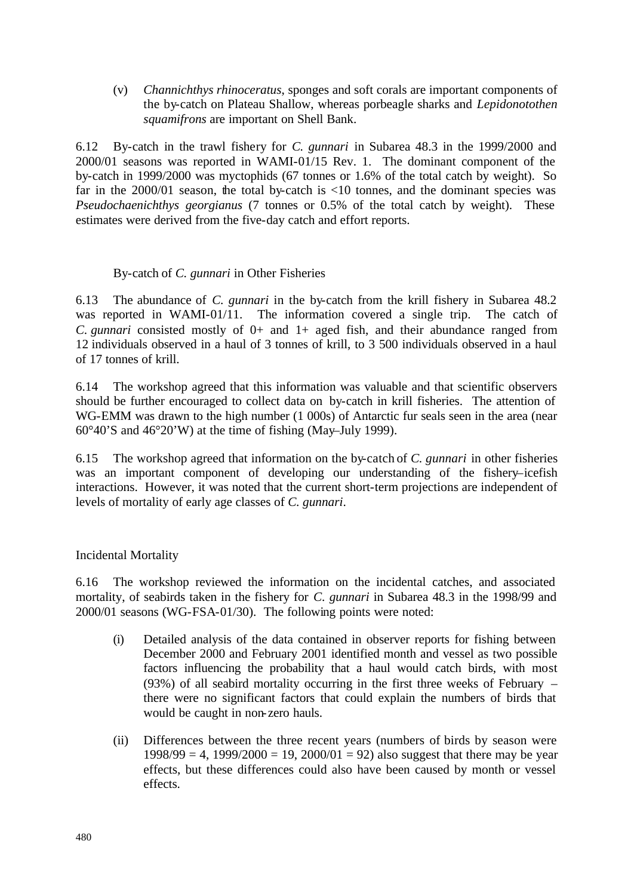(v) *Channichthys rhinoceratus*, sponges and soft corals are important components of the by-catch on Plateau Shallow, whereas porbeagle sharks and *Lepidonotothen squamifrons* are important on Shell Bank.

6.12 By-catch in the trawl fishery for *C. gunnari* in Subarea 48.3 in the 1999/2000 and 2000/01 seasons was reported in WAMI-01/15 Rev. 1. The dominant component of the by-catch in 1999/2000 was myctophids (67 tonnes or 1.6% of the total catch by weight). So far in the  $2000/01$  season, the total by-catch is  $\langle 10 \rangle$  tonnes, and the dominant species was *Pseudochaenichthys georgianus* (7 tonnes or 0.5% of the total catch by weight). These estimates were derived from the five-day catch and effort reports.

## By-catch of *C. gunnari* in Other Fisheries

6.13 The abundance of *C. gunnari* in the by-catch from the krill fishery in Subarea 48.2 was reported in WAMI-01/11. The information covered a single trip. The catch of *C. gunnari* consisted mostly of 0+ and 1+ aged fish, and their abundance ranged from 12 individuals observed in a haul of 3 tonnes of krill, to 3 500 individuals observed in a haul of 17 tonnes of krill.

6.14 The workshop agreed that this information was valuable and that scientific observers should be further encouraged to collect data on by-catch in krill fisheries. The attention of WG-EMM was drawn to the high number (1 000s) of Antarctic fur seals seen in the area (near 60°40'S and 46°20'W) at the time of fishing (May–July 1999).

6.15 The workshop agreed that information on the by-catch of *C. gunnari* in other fisheries was an important component of developing our understanding of the fishery-icefish interactions. However, it was noted that the current short-term projections are independent of levels of mortality of early age classes of *C. gunnari*.

#### Incidental Mortality

6.16 The workshop reviewed the information on the incidental catches, and associated mortality, of seabirds taken in the fishery for *C. gunnari* in Subarea 48.3 in the 1998/99 and 2000/01 seasons (WG-FSA-01/30). The following points were noted:

- (i) Detailed analysis of the data contained in observer reports for fishing between December 2000 and February 2001 identified month and vessel as two possible factors influencing the probability that a haul would catch birds, with most (93%) of all seabird mortality occurring in the first three weeks of February – there were no significant factors that could explain the numbers of birds that would be caught in non-zero hauls.
- (ii) Differences between the three recent years (numbers of birds by season were  $1998/99 = 4$ ,  $1999/2000 = 19$ ,  $2000/01 = 92$ ) also suggest that there may be year effects, but these differences could also have been caused by month or vessel effects.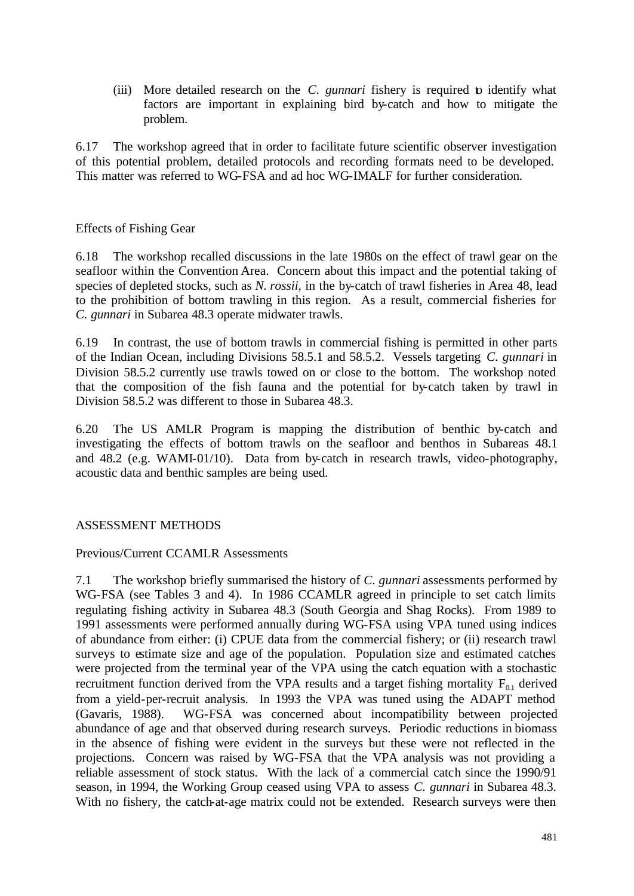(iii) More detailed research on the *C. gunnari* fishery is required to identify what factors are important in explaining bird by-catch and how to mitigate the problem.

6.17 The workshop agreed that in order to facilitate future scientific observer investigation of this potential problem, detailed protocols and recording formats need to be developed. This matter was referred to WG-FSA and ad hoc WG-IMALF for further consideration.

### Effects of Fishing Gear

6.18 The workshop recalled discussions in the late 1980s on the effect of trawl gear on the seafloor within the Convention Area. Concern about this impact and the potential taking of species of depleted stocks, such as *N. rossii*, in the by-catch of trawl fisheries in Area 48, lead to the prohibition of bottom trawling in this region. As a result, commercial fisheries for *C. gunnari* in Subarea 48.3 operate midwater trawls.

6.19 In contrast, the use of bottom trawls in commercial fishing is permitted in other parts of the Indian Ocean, including Divisions 58.5.1 and 58.5.2. Vessels targeting *C. gunnari* in Division 58.5.2 currently use trawls towed on or close to the bottom. The workshop noted that the composition of the fish fauna and the potential for by-catch taken by trawl in Division 58.5.2 was different to those in Subarea 48.3.

6.20 The US AMLR Program is mapping the distribution of benthic by-catch and investigating the effects of bottom trawls on the seafloor and benthos in Subareas 48.1 and 48.2 (e.g. WAMI-01/10). Data from by-catch in research trawls, video-photography, acoustic data and benthic samples are being used.

## ASSESSMENT METHODS

#### Previous/Current CCAMLR Assessments

7.1 The workshop briefly summarised the history of *C. gunnari* assessments performed by WG-FSA (see Tables 3 and 4). In 1986 CCAMLR agreed in principle to set catch limits regulating fishing activity in Subarea 48.3 (South Georgia and Shag Rocks). From 1989 to 1991 assessments were performed annually during WG-FSA using VPA tuned using indices of abundance from either: (i) CPUE data from the commercial fishery; or (ii) research trawl surveys to estimate size and age of the population. Population size and estimated catches were projected from the terminal year of the VPA using the catch equation with a stochastic recruitment function derived from the VPA results and a target fishing mortality  $F_{01}$  derived from a yield-per-recruit analysis. In 1993 the VPA was tuned using the ADAPT method (Gavaris, 1988). WG-FSA was concerned about incompatibility between projected abundance of age and that observed during research surveys. Periodic reductions in biomass in the absence of fishing were evident in the surveys but these were not reflected in the projections. Concern was raised by WG-FSA that the VPA analysis was not providing a reliable assessment of stock status. With the lack of a commercial catch since the 1990/91 season, in 1994, the Working Group ceased using VPA to assess *C. gunnari* in Subarea 48.3. With no fishery, the catch-at-age matrix could not be extended. Research surveys were then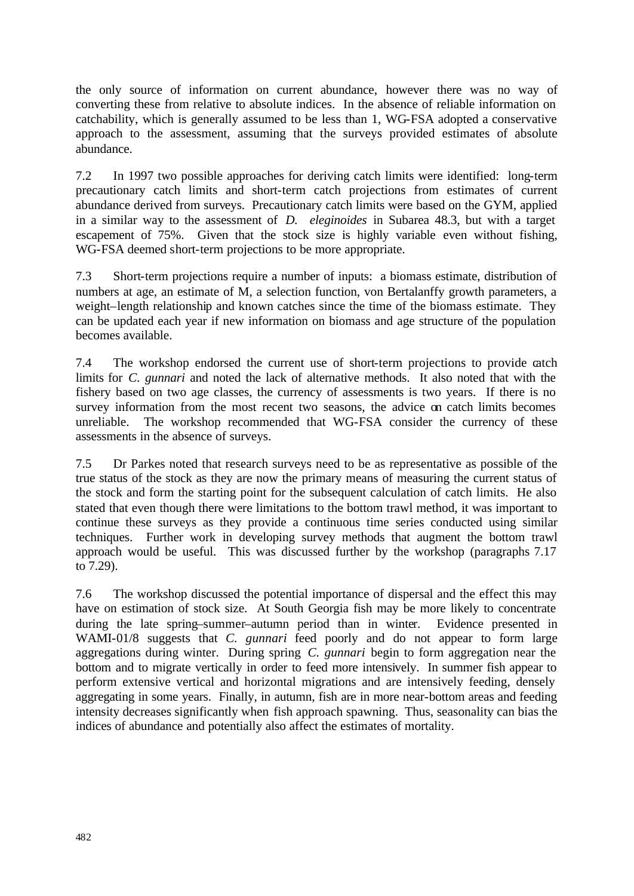the only source of information on current abundance, however there was no way of converting these from relative to absolute indices. In the absence of reliable information on catchability, which is generally assumed to be less than 1, WG-FSA adopted a conservative approach to the assessment, assuming that the surveys provided estimates of absolute abundance.

7.2 In 1997 two possible approaches for deriving catch limits were identified: long-term precautionary catch limits and short-term catch projections from estimates of current abundance derived from surveys. Precautionary catch limits were based on the GYM, applied in a similar way to the assessment of *D. eleginoides* in Subarea 48.3, but with a target escapement of 75%. Given that the stock size is highly variable even without fishing, WG-FSA deemed short-term projections to be more appropriate.

7.3 Short-term projections require a number of inputs: a biomass estimate, distribution of numbers at age, an estimate of M, a selection function, von Bertalanffy growth parameters, a weight–length relationship and known catches since the time of the biomass estimate. They can be updated each year if new information on biomass and age structure of the population becomes available.

7.4 The workshop endorsed the current use of short-term projections to provide catch limits for *C. gunnari* and noted the lack of alternative methods. It also noted that with the fishery based on two age classes, the currency of assessments is two years. If there is no survey information from the most recent two seasons, the advice on catch limits becomes unreliable. The workshop recommended that WG-FSA consider the currency of these assessments in the absence of surveys.

7.5 Dr Parkes noted that research surveys need to be as representative as possible of the true status of the stock as they are now the primary means of measuring the current status of the stock and form the starting point for the subsequent calculation of catch limits. He also stated that even though there were limitations to the bottom trawl method, it was important to continue these surveys as they provide a continuous time series conducted using similar techniques. Further work in developing survey methods that augment the bottom trawl approach would be useful. This was discussed further by the workshop (paragraphs 7.17 to 7.29).

7.6 The workshop discussed the potential importance of dispersal and the effect this may have on estimation of stock size. At South Georgia fish may be more likely to concentrate during the late spring–summer–autumn period than in winter. Evidence presented in WAMI-01/8 suggests that *C. gunnari* feed poorly and do not appear to form large aggregations during winter. During spring *C. gunnari* begin to form aggregation near the bottom and to migrate vertically in order to feed more intensively. In summer fish appear to perform extensive vertical and horizontal migrations and are intensively feeding, densely aggregating in some years. Finally, in autumn, fish are in more near-bottom areas and feeding intensity decreases significantly when fish approach spawning. Thus, seasonality can bias the indices of abundance and potentially also affect the estimates of mortality.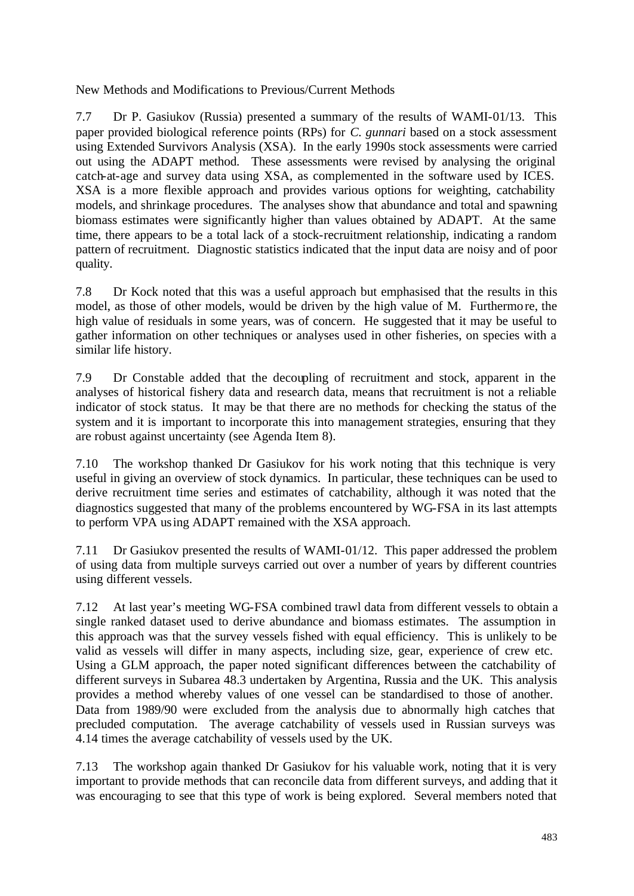New Methods and Modifications to Previous/Current Methods

7.7 Dr P. Gasiukov (Russia) presented a summary of the results of WAMI-01/13. This paper provided biological reference points (RPs) for *C. gunnari* based on a stock assessment using Extended Survivors Analysis (XSA). In the early 1990s stock assessments were carried out using the ADAPT method. These assessments were revised by analysing the original catch-at-age and survey data using XSA, as complemented in the software used by ICES. XSA is a more flexible approach and provides various options for weighting, catchability models, and shrinkage procedures. The analyses show that abundance and total and spawning biomass estimates were significantly higher than values obtained by ADAPT. At the same time, there appears to be a total lack of a stock-recruitment relationship, indicating a random pattern of recruitment. Diagnostic statistics indicated that the input data are noisy and of poor quality.

7.8 Dr Kock noted that this was a useful approach but emphasised that the results in this model, as those of other models, would be driven by the high value of M. Furthermore, the high value of residuals in some years, was of concern. He suggested that it may be useful to gather information on other techniques or analyses used in other fisheries, on species with a similar life history.

7.9 Dr Constable added that the decoupling of recruitment and stock, apparent in the analyses of historical fishery data and research data, means that recruitment is not a reliable indicator of stock status. It may be that there are no methods for checking the status of the system and it is important to incorporate this into management strategies, ensuring that they are robust against uncertainty (see Agenda Item 8).

7.10 The workshop thanked Dr Gasiukov for his work noting that this technique is very useful in giving an overview of stock dynamics. In particular, these techniques can be used to derive recruitment time series and estimates of catchability, although it was noted that the diagnostics suggested that many of the problems encountered by WG-FSA in its last attempts to perform VPA using ADAPT remained with the XSA approach.

7.11 Dr Gasiukov presented the results of WAMI-01/12. This paper addressed the problem of using data from multiple surveys carried out over a number of years by different countries using different vessels.

7.12 At last year's meeting WG-FSA combined trawl data from different vessels to obtain a single ranked dataset used to derive abundance and biomass estimates. The assumption in this approach was that the survey vessels fished with equal efficiency. This is unlikely to be valid as vessels will differ in many aspects, including size, gear, experience of crew etc. Using a GLM approach, the paper noted significant differences between the catchability of different surveys in Subarea 48.3 undertaken by Argentina, Russia and the UK. This analysis provides a method whereby values of one vessel can be standardised to those of another. Data from 1989/90 were excluded from the analysis due to abnormally high catches that precluded computation. The average catchability of vessels used in Russian surveys was 4.14 times the average catchability of vessels used by the UK.

7.13 The workshop again thanked Dr Gasiukov for his valuable work, noting that it is very important to provide methods that can reconcile data from different surveys, and adding that it was encouraging to see that this type of work is being explored. Several members noted that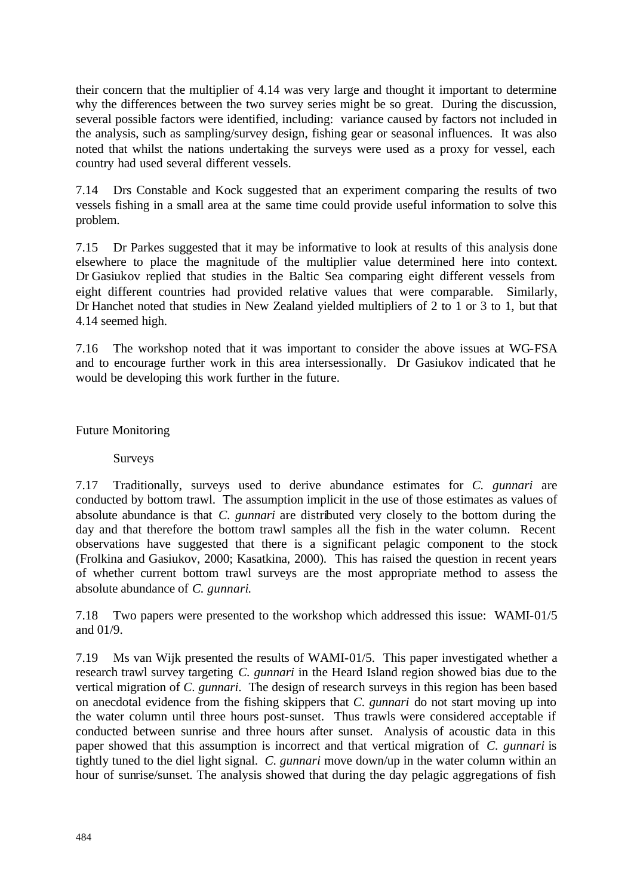their concern that the multiplier of 4.14 was very large and thought it important to determine why the differences between the two survey series might be so great. During the discussion, several possible factors were identified, including: variance caused by factors not included in the analysis, such as sampling/survey design, fishing gear or seasonal influences. It was also noted that whilst the nations undertaking the surveys were used as a proxy for vessel, each country had used several different vessels.

7.14 Drs Constable and Kock suggested that an experiment comparing the results of two vessels fishing in a small area at the same time could provide useful information to solve this problem.

7.15 Dr Parkes suggested that it may be informative to look at results of this analysis done elsewhere to place the magnitude of the multiplier value determined here into context. Dr Gasiukov replied that studies in the Baltic Sea comparing eight different vessels from eight different countries had provided relative values that were comparable. Similarly, Dr Hanchet noted that studies in New Zealand yielded multipliers of 2 to 1 or 3 to 1, but that 4.14 seemed high.

7.16 The workshop noted that it was important to consider the above issues at WG-FSA and to encourage further work in this area intersessionally. Dr Gasiukov indicated that he would be developing this work further in the future.

Future Monitoring

Surveys

7.17 Traditionally, surveys used to derive abundance estimates for *C. gunnari* are conducted by bottom trawl. The assumption implicit in the use of those estimates as values of absolute abundance is that *C. gunnari* are distributed very closely to the bottom during the day and that therefore the bottom trawl samples all the fish in the water column. Recent observations have suggested that there is a significant pelagic component to the stock (Frolkina and Gasiukov, 2000; Kasatkina, 2000). This has raised the question in recent years of whether current bottom trawl surveys are the most appropriate method to assess the absolute abundance of *C. gunnari*.

7.18 Two papers were presented to the workshop which addressed this issue: WAMI-01/5 and 01/9.

7.19 Ms van Wijk presented the results of WAMI-01/5. This paper investigated whether a research trawl survey targeting *C. gunnari* in the Heard Island region showed bias due to the vertical migration of *C. gunnari*. The design of research surveys in this region has been based on anecdotal evidence from the fishing skippers that *C. gunnari* do not start moving up into the water column until three hours post-sunset. Thus trawls were considered acceptable if conducted between sunrise and three hours after sunset. Analysis of acoustic data in this paper showed that this assumption is incorrect and that vertical migration of *C. gunnari* is tightly tuned to the diel light signal. *C. gunnari* move down/up in the water column within an hour of sunrise/sunset. The analysis showed that during the day pelagic aggregations of fish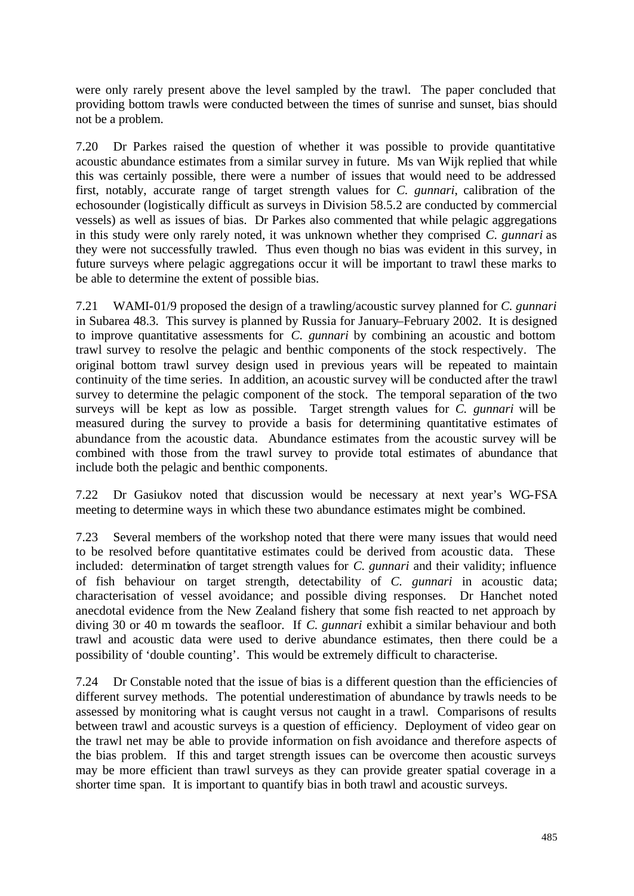were only rarely present above the level sampled by the trawl. The paper concluded that providing bottom trawls were conducted between the times of sunrise and sunset, bias should not be a problem.

7.20 Dr Parkes raised the question of whether it was possible to provide quantitative acoustic abundance estimates from a similar survey in future. Ms van Wijk replied that while this was certainly possible, there were a number of issues that would need to be addressed first, notably, accurate range of target strength values for *C. gunnari*, calibration of the echosounder (logistically difficult as surveys in Division 58.5.2 are conducted by commercial vessels) as well as issues of bias. Dr Parkes also commented that while pelagic aggregations in this study were only rarely noted, it was unknown whether they comprised *C. gunnari* as they were not successfully trawled. Thus even though no bias was evident in this survey, in future surveys where pelagic aggregations occur it will be important to trawl these marks to be able to determine the extent of possible bias.

7.21 WAMI-01/9 proposed the design of a trawling/acoustic survey planned for *C. gunnari* in Subarea 48.3. This survey is planned by Russia for January–February 2002. It is designed to improve quantitative assessments for *C. gunnari* by combining an acoustic and bottom trawl survey to resolve the pelagic and benthic components of the stock respectively. The original bottom trawl survey design used in previous years will be repeated to maintain continuity of the time series. In addition, an acoustic survey will be conducted after the trawl survey to determine the pelagic component of the stock. The temporal separation of the two surveys will be kept as low as possible. Target strength values for *C. gunnari* will be measured during the survey to provide a basis for determining quantitative estimates of abundance from the acoustic data. Abundance estimates from the acoustic survey will be combined with those from the trawl survey to provide total estimates of abundance that include both the pelagic and benthic components.

7.22 Dr Gasiukov noted that discussion would be necessary at next year's WG-FSA meeting to determine ways in which these two abundance estimates might be combined.

7.23 Several members of the workshop noted that there were many issues that would need to be resolved before quantitative estimates could be derived from acoustic data. These included: determination of target strength values for *C. gunnari* and their validity; influence of fish behaviour on target strength, detectability of *C. gunnari* in acoustic data; characterisation of vessel avoidance; and possible diving responses. Dr Hanchet noted anecdotal evidence from the New Zealand fishery that some fish reacted to net approach by diving 30 or 40 m towards the seafloor. If *C. gunnari* exhibit a similar behaviour and both trawl and acoustic data were used to derive abundance estimates, then there could be a possibility of 'double counting'. This would be extremely difficult to characterise.

7.24 Dr Constable noted that the issue of bias is a different question than the efficiencies of different survey methods. The potential underestimation of abundance by trawls needs to be assessed by monitoring what is caught versus not caught in a trawl. Comparisons of results between trawl and acoustic surveys is a question of efficiency. Deployment of video gear on the trawl net may be able to provide information on fish avoidance and therefore aspects of the bias problem. If this and target strength issues can be overcome then acoustic surveys may be more efficient than trawl surveys as they can provide greater spatial coverage in a shorter time span. It is important to quantify bias in both trawl and acoustic surveys.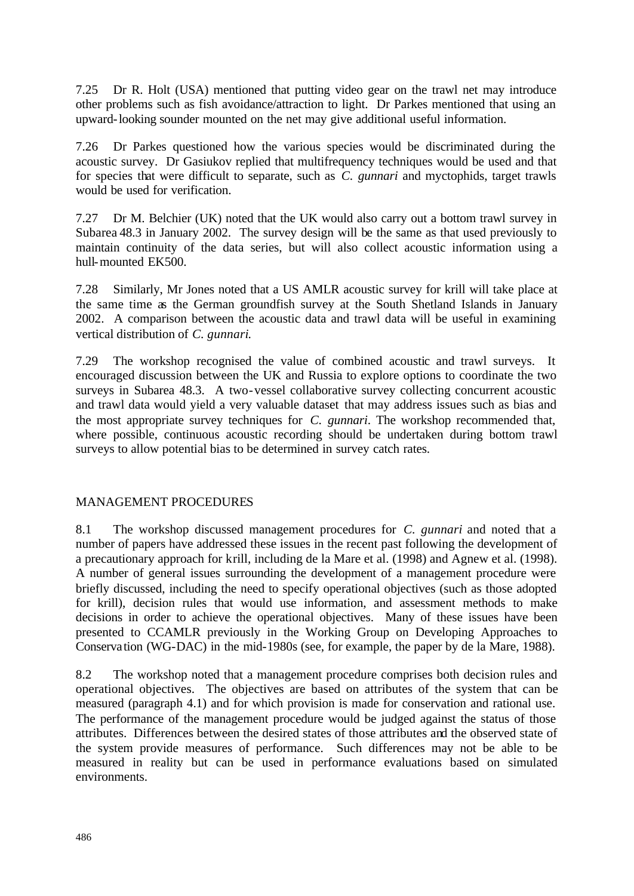7.25 Dr R. Holt (USA) mentioned that putting video gear on the trawl net may introduce other problems such as fish avoidance/attraction to light. Dr Parkes mentioned that using an upward-looking sounder mounted on the net may give additional useful information.

7.26 Dr Parkes questioned how the various species would be discriminated during the acoustic survey. Dr Gasiukov replied that multifrequency techniques would be used and that for species that were difficult to separate, such as *C. gunnari* and myctophids, target trawls would be used for verification.

7.27 Dr M. Belchier (UK) noted that the UK would also carry out a bottom trawl survey in Subarea 48.3 in January 2002. The survey design will be the same as that used previously to maintain continuity of the data series, but will also collect acoustic information using a hull-mounted EK500.

7.28 Similarly, Mr Jones noted that a US AMLR acoustic survey for krill will take place at the same time as the German groundfish survey at the South Shetland Islands in January 2002. A comparison between the acoustic data and trawl data will be useful in examining vertical distribution of *C. gunnari*.

7.29 The workshop recognised the value of combined acoustic and trawl surveys. It encouraged discussion between the UK and Russia to explore options to coordinate the two surveys in Subarea 48.3. A two-vessel collaborative survey collecting concurrent acoustic and trawl data would yield a very valuable dataset that may address issues such as bias and the most appropriate survey techniques for *C. gunnari*. The workshop recommended that, where possible, continuous acoustic recording should be undertaken during bottom trawl surveys to allow potential bias to be determined in survey catch rates.

#### MANAGEMENT PROCEDURES

8.1 The workshop discussed management procedures for *C. gunnari* and noted that a number of papers have addressed these issues in the recent past following the development of a precautionary approach for krill, including de la Mare et al. (1998) and Agnew et al. (1998). A number of general issues surrounding the development of a management procedure were briefly discussed, including the need to specify operational objectives (such as those adopted for krill), decision rules that would use information, and assessment methods to make decisions in order to achieve the operational objectives. Many of these issues have been presented to CCAMLR previously in the Working Group on Developing Approaches to Conservation (WG-DAC) in the mid-1980s (see, for example, the paper by de la Mare, 1988).

8.2 The workshop noted that a management procedure comprises both decision rules and operational objectives. The objectives are based on attributes of the system that can be measured (paragraph 4.1) and for which provision is made for conservation and rational use. The performance of the management procedure would be judged against the status of those attributes. Differences between the desired states of those attributes and the observed state of the system provide measures of performance. Such differences may not be able to be measured in reality but can be used in performance evaluations based on simulated environments.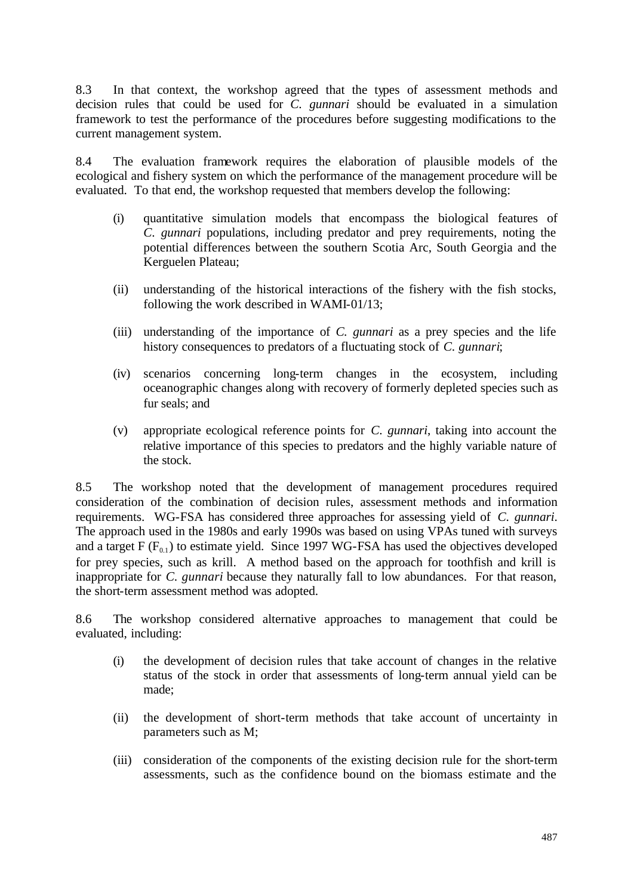8.3 In that context, the workshop agreed that the types of assessment methods and decision rules that could be used for *C. gunnari* should be evaluated in a simulation framework to test the performance of the procedures before suggesting modifications to the current management system.

8.4 The evaluation framework requires the elaboration of plausible models of the ecological and fishery system on which the performance of the management procedure will be evaluated. To that end, the workshop requested that members develop the following:

- (i) quantitative simulation models that encompass the biological features of *C. gunnari* populations, including predator and prey requirements, noting the potential differences between the southern Scotia Arc, South Georgia and the Kerguelen Plateau;
- (ii) understanding of the historical interactions of the fishery with the fish stocks, following the work described in WAMI-01/13;
- (iii) understanding of the importance of *C. gunnari* as a prey species and the life history consequences to predators of a fluctuating stock of *C. gunnari*;
- (iv) scenarios concerning long-term changes in the ecosystem, including oceanographic changes along with recovery of formerly depleted species such as fur seals; and
- (v) appropriate ecological reference points for *C. gunnari*, taking into account the relative importance of this species to predators and the highly variable nature of the stock.

8.5 The workshop noted that the development of management procedures required consideration of the combination of decision rules, assessment methods and information requirements. WG-FSA has considered three approaches for assessing yield of *C. gunnari*. The approach used in the 1980s and early 1990s was based on using VPAs tuned with surveys and a target  $F(F_{0.1})$  to estimate yield. Since 1997 WG-FSA has used the objectives developed for prey species, such as krill. A method based on the approach for toothfish and krill is inappropriate for *C. gunnari* because they naturally fall to low abundances. For that reason, the short-term assessment method was adopted.

8.6 The workshop considered alternative approaches to management that could be evaluated, including:

- (i) the development of decision rules that take account of changes in the relative status of the stock in order that assessments of long-term annual yield can be made;
- (ii) the development of short-term methods that take account of uncertainty in parameters such as M;
- (iii) consideration of the components of the existing decision rule for the short-term assessments, such as the confidence bound on the biomass estimate and the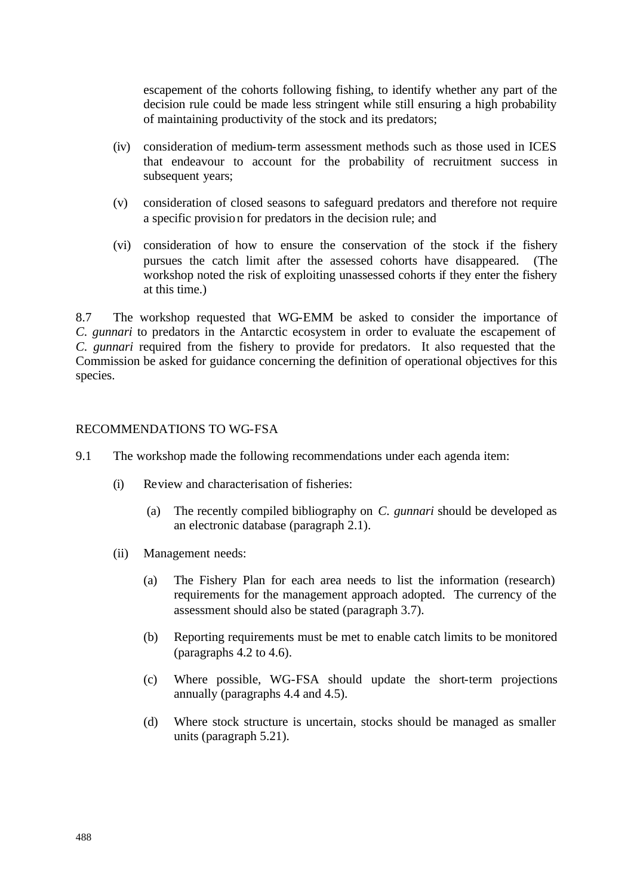escapement of the cohorts following fishing, to identify whether any part of the decision rule could be made less stringent while still ensuring a high probability of maintaining productivity of the stock and its predators;

- (iv) consideration of medium-term assessment methods such as those used in ICES that endeavour to account for the probability of recruitment success in subsequent years;
- (v) consideration of closed seasons to safeguard predators and therefore not require a specific provision for predators in the decision rule; and
- (vi) consideration of how to ensure the conservation of the stock if the fishery pursues the catch limit after the assessed cohorts have disappeared. (The workshop noted the risk of exploiting unassessed cohorts if they enter the fishery at this time.)

8.7 The workshop requested that WG-EMM be asked to consider the importance of *C. gunnari* to predators in the Antarctic ecosystem in order to evaluate the escapement of *C. gunnari* required from the fishery to provide for predators. It also requested that the Commission be asked for guidance concerning the definition of operational objectives for this species.

#### RECOMMENDATIONS TO WG-FSA

- 9.1 The workshop made the following recommendations under each agenda item:
	- (i) Review and characterisation of fisheries:
		- (a) The recently compiled bibliography on *C. gunnari* should be developed as an electronic database (paragraph 2.1).
	- (ii) Management needs:
		- (a) The Fishery Plan for each area needs to list the information (research) requirements for the management approach adopted. The currency of the assessment should also be stated (paragraph 3.7).
		- (b) Reporting requirements must be met to enable catch limits to be monitored (paragraphs 4.2 to 4.6).
		- (c) Where possible, WG-FSA should update the short-term projections annually (paragraphs 4.4 and 4.5).
		- (d) Where stock structure is uncertain, stocks should be managed as smaller units (paragraph 5.21).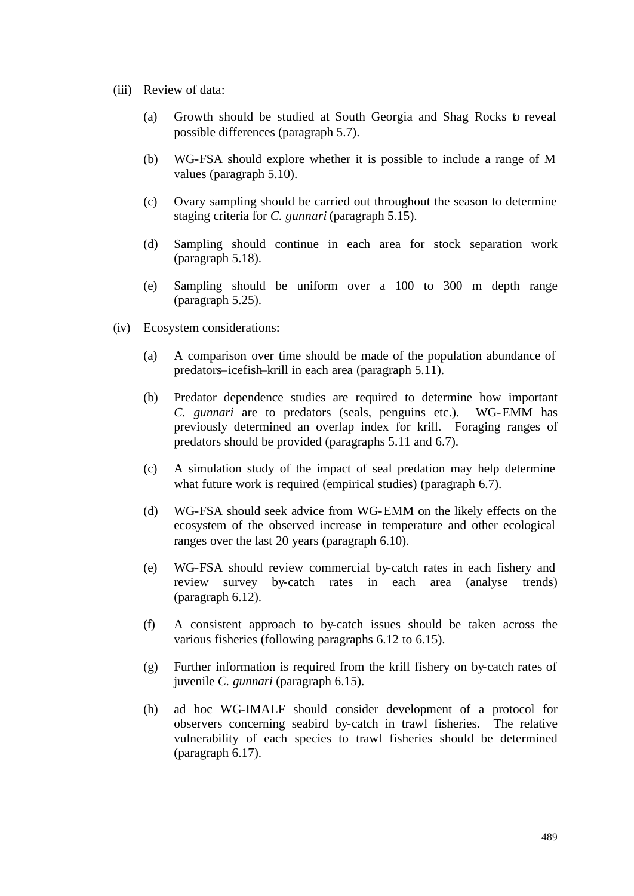- (iii) Review of data:
	- (a) Growth should be studied at South Georgia and Shag Rocks to reveal possible differences (paragraph 5.7).
	- (b) WG-FSA should explore whether it is possible to include a range of M values (paragraph 5.10).
	- (c) Ovary sampling should be carried out throughout the season to determine staging criteria for *C. gunnari* (paragraph 5.15).
	- (d) Sampling should continue in each area for stock separation work (paragraph 5.18).
	- (e) Sampling should be uniform over a 100 to 300 m depth range (paragraph 5.25).
- (iv) Ecosystem considerations:
	- (a) A comparison over time should be made of the population abundance of predators–icefish–krill in each area (paragraph 5.11).
	- (b) Predator dependence studies are required to determine how important *C. gunnari* are to predators (seals, penguins etc.). WG-EMM has previously determined an overlap index for krill. Foraging ranges of predators should be provided (paragraphs 5.11 and 6.7).
	- (c) A simulation study of the impact of seal predation may help determine what future work is required (empirical studies) (paragraph 6.7).
	- (d) WG-FSA should seek advice from WG-EMM on the likely effects on the ecosystem of the observed increase in temperature and other ecological ranges over the last 20 years (paragraph 6.10).
	- (e) WG-FSA should review commercial by-catch rates in each fishery and review survey by-catch rates in each area (analyse trends) (paragraph 6.12).
	- (f) A consistent approach to by-catch issues should be taken across the various fisheries (following paragraphs 6.12 to 6.15).
	- (g) Further information is required from the krill fishery on by-catch rates of juvenile *C. gunnari* (paragraph 6.15).
	- (h) ad hoc WG-IMALF should consider development of a protocol for observers concerning seabird by-catch in trawl fisheries. The relative vulnerability of each species to trawl fisheries should be determined (paragraph 6.17).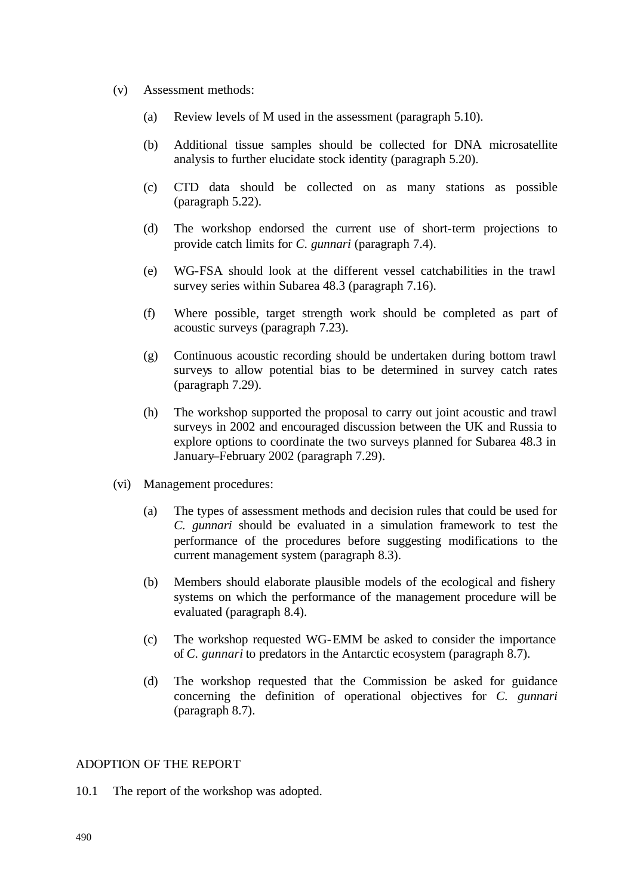- (v) Assessment methods:
	- (a) Review levels of M used in the assessment (paragraph 5.10).
	- (b) Additional tissue samples should be collected for DNA microsatellite analysis to further elucidate stock identity (paragraph 5.20).
	- (c) CTD data should be collected on as many stations as possible (paragraph 5.22).
	- (d) The workshop endorsed the current use of short-term projections to provide catch limits for *C. gunnari* (paragraph 7.4).
	- (e) WG-FSA should look at the different vessel catchabilities in the trawl survey series within Subarea 48.3 (paragraph 7.16).
	- (f) Where possible, target strength work should be completed as part of acoustic surveys (paragraph 7.23).
	- (g) Continuous acoustic recording should be undertaken during bottom trawl surveys to allow potential bias to be determined in survey catch rates (paragraph 7.29).
	- (h) The workshop supported the proposal to carry out joint acoustic and trawl surveys in 2002 and encouraged discussion between the UK and Russia to explore options to coordinate the two surveys planned for Subarea 48.3 in January–February 2002 (paragraph 7.29).
- (vi) Management procedures:
	- (a) The types of assessment methods and decision rules that could be used for *C. gunnari* should be evaluated in a simulation framework to test the performance of the procedures before suggesting modifications to the current management system (paragraph 8.3).
	- (b) Members should elaborate plausible models of the ecological and fishery systems on which the performance of the management procedure will be evaluated (paragraph 8.4).
	- (c) The workshop requested WG-EMM be asked to consider the importance of *C. gunnari* to predators in the Antarctic ecosystem (paragraph 8.7).
	- (d) The workshop requested that the Commission be asked for guidance concerning the definition of operational objectives for *C. gunnari* (paragraph 8.7).

#### ADOPTION OF THE REPORT

10.1 The report of the workshop was adopted.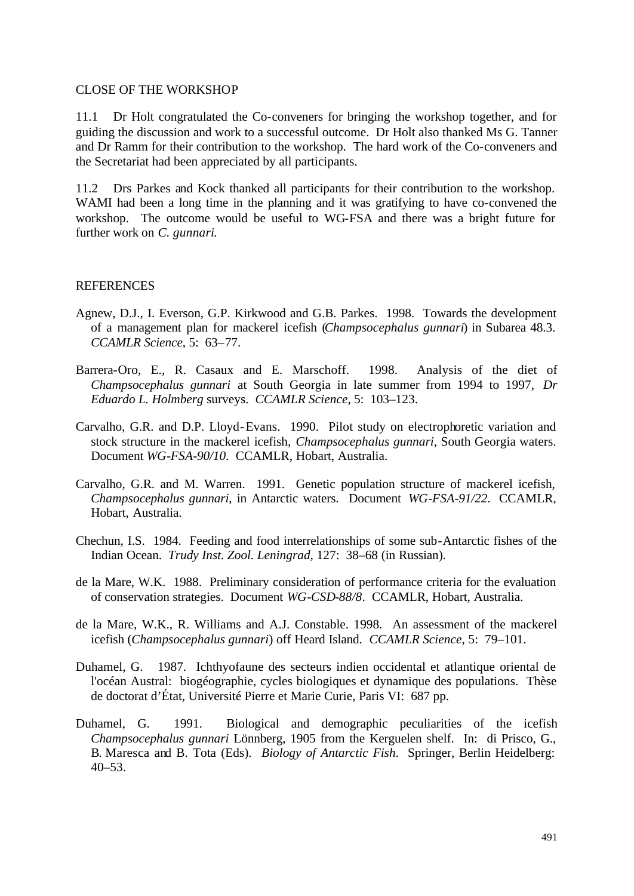#### CLOSE OF THE WORKSHOP

11.1 Dr Holt congratulated the Co-conveners for bringing the workshop together, and for guiding the discussion and work to a successful outcome. Dr Holt also thanked Ms G. Tanner and Dr Ramm for their contribution to the workshop. The hard work of the Co-conveners and the Secretariat had been appreciated by all participants.

11.2 Drs Parkes and Kock thanked all participants for their contribution to the workshop. WAMI had been a long time in the planning and it was gratifying to have co-convened the workshop. The outcome would be useful to WG-FSA and there was a bright future for further work on *C. gunnari*.

#### **REFERENCES**

- Agnew, D.J., I. Everson, G.P. Kirkwood and G.B. Parkes. 1998. Towards the development of a management plan for mackerel icefish (*Champsocephalus gunnari*) in Subarea 48.3. *CCAMLR Science*, 5: 63–77.
- Barrera-Oro, E., R. Casaux and E. Marschoff. 1998. Analysis of the diet of *Champsocephalus gunnari* at South Georgia in late summer from 1994 to 1997, *Dr Eduardo L. Holmberg* surveys. *CCAMLR Science*, 5: 103–123.
- Carvalho, G.R. and D.P. Lloyd-Evans. 1990. Pilot study on electrophoretic variation and stock structure in the mackerel icefish, *Champsocephalus gunnari*, South Georgia waters. Document *WG-FSA-90/10*. CCAMLR, Hobart, Australia.
- Carvalho, G.R. and M. Warren. 1991. Genetic population structure of mackerel icefish, *Champsocephalus gunnari*, in Antarctic waters. Document *WG-FSA-91/22*. CCAMLR, Hobart, Australia.
- Chechun, I.S. 1984. Feeding and food interrelationships of some sub-Antarctic fishes of the Indian Ocean. *Trudy Inst. Zool. Leningrad*, 127: 38–68 (in Russian).
- de la Mare, W.K. 1988. Preliminary consideration of performance criteria for the evaluation of conservation strategies. Document *WG-CSD-88/8*. CCAMLR, Hobart, Australia.
- de la Mare, W.K., R. Williams and A.J. Constable. 1998. An assessment of the mackerel icefish (*Champsocephalus gunnari*) off Heard Island. *CCAMLR Science*, 5: 79–101.
- Duhamel, G. 1987. Ichthyofaune des secteurs indien occidental et atlantique oriental de l'océan Austral: biogéographie, cycles biologiques et dynamique des populations. Thèse de doctorat d'État, Université Pierre et Marie Curie, Paris VI: 687 pp.
- Duhamel, G. 1991. Biological and demographic peculiarities of the icefish *Champsocephalus gunnari* Lönnberg, 1905 from the Kerguelen shelf. In: di Prisco, G., B. Maresca and B. Tota (Eds). *Biology of Antarctic Fish*. Springer, Berlin Heidelberg:  $40 - 53$ .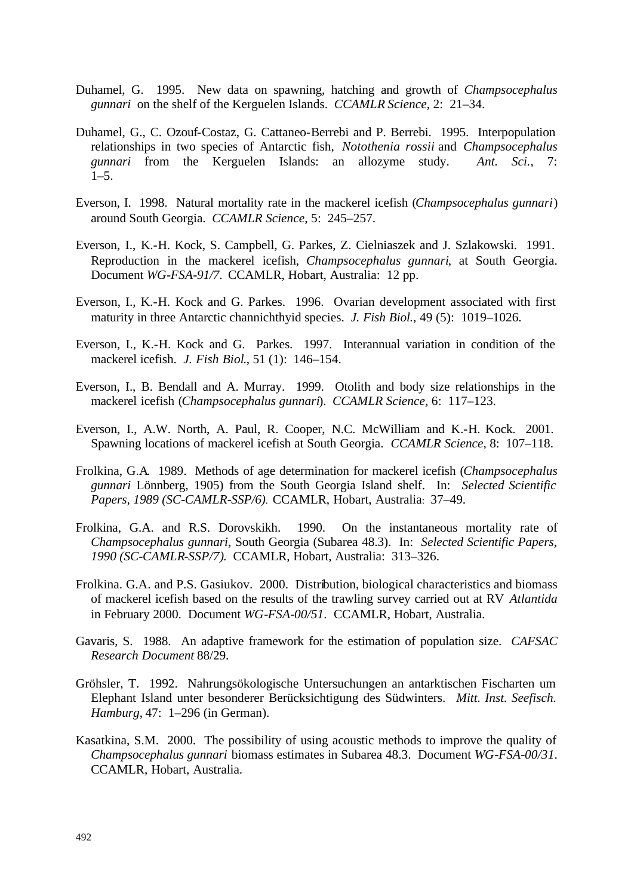- Duhamel, G. 1995. New data on spawning, hatching and growth of *Champsocephalus gunnari* on the shelf of the Kerguelen Islands. *CCAMLR Science*, 2: 21–34.
- Duhamel, G., C. Ozouf-Costaz, G. Cattaneo-Berrebi and P. Berrebi. 1995. Interpopulation relationships in two species of Antarctic fish, *Notothenia rossii* and *Champsocephalus gunnari* from the Kerguelen Islands: an allozyme study. *Ant. Sci.*, 7:  $1-5.$
- Everson, I. 1998. Natural mortality rate in the mackerel icefish (*Champsocephalus gunnari*) around South Georgia. *CCAMLR Science*, 5: 245–257.
- Everson, I., K.-H. Kock, S. Campbell, G. Parkes, Z. Cielniaszek and J. Szlakowski. 1991. Reproduction in the mackerel icefish, *Champsocephalus gunnari*, at South Georgia. Document *WG-FSA-91/7*. CCAMLR, Hobart, Australia: 12 pp.
- Everson, I., K.-H. Kock and G. Parkes. 1996. Ovarian development associated with first maturity in three Antarctic channichthyid species. *J. Fish Biol.*, 49 (5): 1019–1026.
- Everson, I., K.-H. Kock and G. Parkes. 1997. Interannual variation in condition of the mackerel icefish. *J. Fish Biol*., 51 (1): 146–154.
- Everson, I., B. Bendall and A. Murray. 1999. Otolith and body size relationships in the mackerel icefish (*Champsocephalus gunnari*). *CCAMLR Science*, 6: 117–123.
- Everson, I., A.W. North, A. Paul, R. Cooper, N.C. McWilliam and K.-H. Kock. 2001. Spawning locations of mackerel icefish at South Georgia. *CCAMLR Science*, 8: 107–118.
- Frolkina, G.A. 1989. Methods of age determination for mackerel icefish (*Champsocephalus gunnari* Lönnberg, 1905) from the South Georgia Island shelf. In: *Selected Scientific Papers, 1989 (SC-CAMLR-SSP/6)*. CCAMLR, Hobart, Australia: 37–49.
- Frolkina, G.A. and R.S. Dorovskikh. 1990. On the instantaneous mortality rate of *Champsocephalus gunnari*, South Georgia (Subarea 48.3). In: *Selected Scientific Papers, 1990 (SC-CAMLR-SSP/7)*. CCAMLR, Hobart, Australia: 313–326.
- Frolkina. G.A. and P.S. Gasiukov. 2000. Distribution, biological characteristics and biomass of mackerel icefish based on the results of the trawling survey carried out at RV *Atlantida* in February 2000. Document *WG-FSA-00/51*. CCAMLR, Hobart, Australia.
- Gavaris, S. 1988. An adaptive framework for the estimation of population size. *CAFSAC Research Document* 88/29.
- Gröhsler, T. 1992. Nahrungsökologische Untersuchungen an antarktischen Fischarten um Elephant Island unter besonderer Berücksichtigung des Südwinters. *Mitt. Inst. Seefisch. Hamburg*, 47: 1–296 (in German).
- Kasatkina, S.M. 2000. The possibility of using acoustic methods to improve the quality of *Champsocephalus gunnari* biomass estimates in Subarea 48.3. Document *WG-FSA-00/31*. CCAMLR, Hobart, Australia.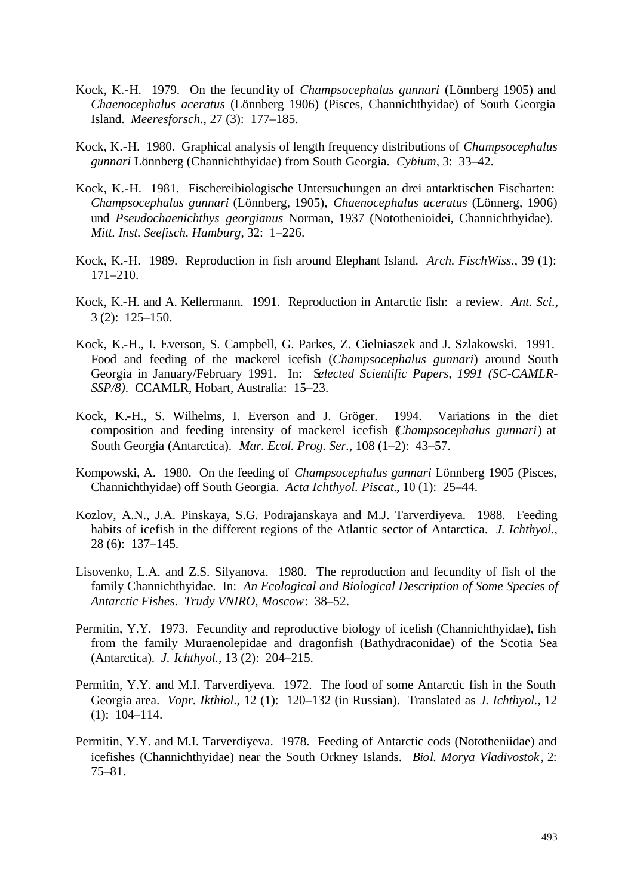- Kock, K.-H. 1979. On the fecundity of *Champsocephalus gunnari* (Lönnberg 1905) and *Chaenocephalus aceratus* (Lönnberg 1906) (Pisces, Channichthyidae) of South Georgia Island. *Meeresforsch.*, 27 (3): 177–185.
- Kock, K.-H. 1980. Graphical analysis of length frequency distributions of *Champsocephalus gunnari* Lönnberg (Channichthyidae) from South Georgia. *Cybium*, 3: 33–42.
- Kock, K.-H. 1981. Fischereibiologische Untersuchungen an drei antarktischen Fischarten: *Champsocephalus gunnari* (Lönnberg, 1905), *Chaenocephalus aceratus* (Lönnerg, 1906) und *Pseudochaenichthys georgianus* Norman, 1937 (Notothenioidei, Channichthyidae). *Mitt. Inst. Seefisch. Hamburg*, 32: 1–226.
- Kock, K.-H. 1989. Reproduction in fish around Elephant Island. *Arch. FischWiss.*, 39 (1): 171–210.
- Kock, K.-H. and A. Kellermann. 1991. Reproduction in Antarctic fish: a review. *Ant. Sci.*, 3 (2): 125–150.
- Kock, K.-H., I. Everson, S. Campbell, G. Parkes, Z. Cielniaszek and J. Szlakowski. 1991. Food and feeding of the mackerel icefish (*Champsocephalus gunnari*) around South Georgia in January/February 1991. In: S*elected Scientific Papers, 1991 (SC-CAMLR-SSP/8)*. CCAMLR, Hobart, Australia: 15–23.
- Kock, K.-H., S. Wilhelms, I. Everson and J. Gröger. 1994. Variations in the diet composition and feeding intensity of mackerel icefish (*Champsocephalus gunnari*) at South Georgia (Antarctica). *Mar. Ecol. Prog. Ser.*, 108 (1–2): 43–57.
- Kompowski, A. 1980. On the feeding of *Champsocephalus gunnari* Lönnberg 1905 (Pisces, Channichthyidae) off South Georgia. *Acta Ichthyol. Piscat.*, 10 (1): 25–44.
- Kozlov, A.N., J.A. Pinskaya, S.G. Podrajanskaya and M.J. Tarverdiyeva. 1988. Feeding habits of icefish in the different regions of the Atlantic sector of Antarctica. *J. Ichthyol.*, 28 (6): 137–145.
- Lisovenko, L.A. and Z.S. Silyanova. 1980. The reproduction and fecundity of fish of the family Channichthyidae. In: *An Ecological and Biological Description of Some Species of Antarctic Fishes*. *Trudy VNIRO, Moscow*: 38–52.
- Permitin, Y.Y. 1973. Fecundity and reproductive biology of icefish (Channichthyidae), fish from the family Muraenolepidae and dragonfish (Bathydraconidae) of the Scotia Sea (Antarctica). *J. Ichthyol.*, 13 (2): 204–215.
- Permitin, Y.Y. and M.I. Tarverdiyeva. 1972. The food of some Antarctic fish in the South Georgia area. *Vopr. Ikthiol*., 12 (1): 120–132 (in Russian). Translated as *J. Ichthyol.,* 12 (1): 104–114.
- Permitin, Y.Y. and M.I. Tarverdiyeva. 1978. Feeding of Antarctic cods (Nototheniidae) and icefishes (Channichthyidae) near the South Orkney Islands. *Biol. Morya Vladivostok* , 2: 75–81.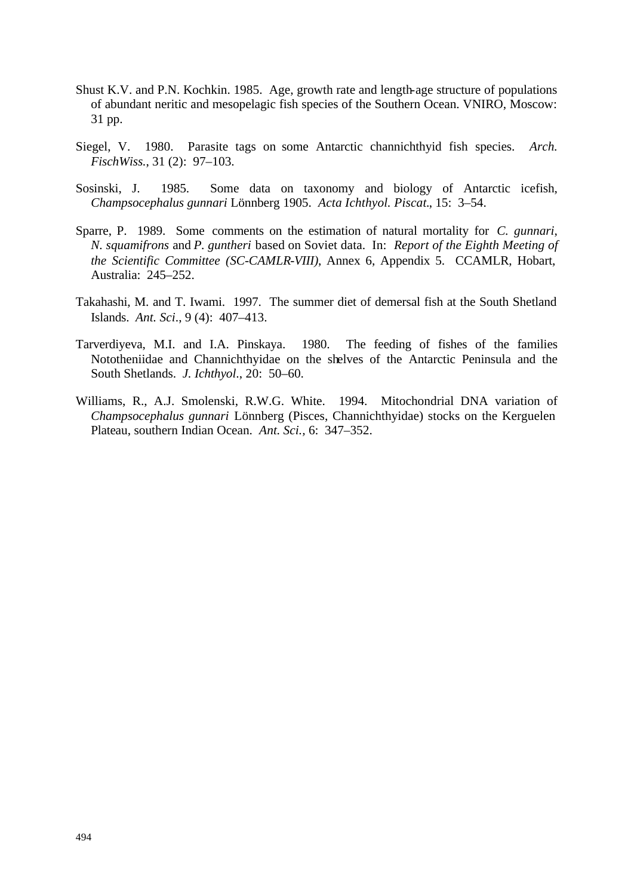- Shust K.V. and P.N. Kochkin. 1985. Age, growth rate and length-age structure of populations of abundant neritic and mesopelagic fish species of the Southern Ocean. VNIRO, Moscow: 31 pp.
- Siegel, V. 1980. Parasite tags on some Antarctic channichthyid fish species. *Arch. FischWiss.*, 31 (2): 97–103.
- Sosinski, J. 1985. Some data on taxonomy and biology of Antarctic icefish, *Champsocephalus gunnari* Lönnberg 1905. *Acta Ichthyol. Piscat.*, 15: 3–54.
- Sparre, P. 1989. Some comments on the estimation of natural mortality for *C. gunnari*, *N. squamifrons* and *P. guntheri* based on Soviet data. In: *Report of the Eighth Meeting of the Scientific Committee (SC-CAMLR-VIII)*, Annex 6, Appendix 5. CCAMLR, Hobart, Australia: 245–252.
- Takahashi, M. and T. Iwami. 1997. The summer diet of demersal fish at the South Shetland Islands. *Ant. Sci*., 9 (4): 407–413.
- Tarverdiyeva, M.I. and I.A. Pinskaya. 1980. The feeding of fishes of the families Nototheniidae and Channichthyidae on the shelves of the Antarctic Peninsula and the South Shetlands. *J. Ichthyol*., 20: 50–60.
- Williams, R., A.J. Smolenski, R.W.G. White. 1994. Mitochondrial DNA variation of *Champsocephalus gunnari* Lönnberg (Pisces, Channichthyidae) stocks on the Kerguelen Plateau, southern Indian Ocean. *Ant. Sci.,* 6: 347–352.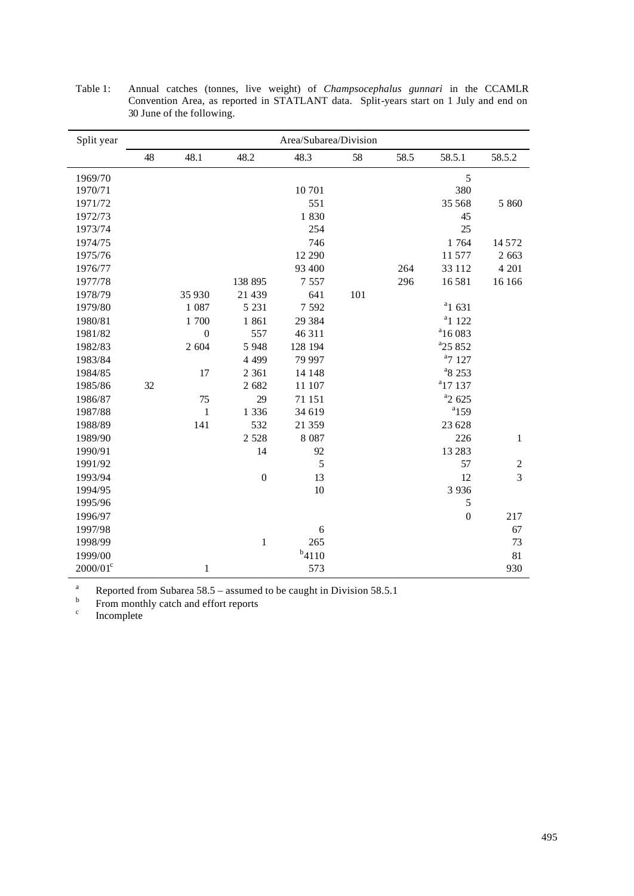| Split year  | Area/Subarea/Division |                  |                |            |     |      |                     |                |
|-------------|-----------------------|------------------|----------------|------------|-----|------|---------------------|----------------|
|             | 48                    | 48.1             | 48.2           | 48.3       | 58  | 58.5 | 58.5.1              | 58.5.2         |
| 1969/70     |                       |                  |                |            |     |      | 5                   |                |
| 1970/71     |                       |                  |                | 10701      |     |      | 380                 |                |
| 1971/72     |                       |                  |                | 551        |     |      | 35 568              | 5 8 6 0        |
| 1972/73     |                       |                  |                | 1830       |     |      | 45                  |                |
| 1973/74     |                       |                  |                | 254        |     |      | 25                  |                |
| 1974/75     |                       |                  |                | 746        |     |      | 1 764               | 14572          |
| 1975/76     |                       |                  |                | 12 290     |     |      | 11 577              | 2 6 6 3        |
| 1976/77     |                       |                  |                | 93 400     |     | 264  | 33 112              | 4 201          |
| 1977/78     |                       |                  | 138 895        | 7 5 5 7    |     | 296  | 16581               | 16 16 6        |
| 1978/79     |                       | 35 930           | 21 439         | 641        | 101 |      |                     |                |
| 1979/80     |                       | 1 0 8 7          | 5 2 3 1        | 7 5 9 2    |     |      | $a_1$ 631           |                |
| 1980/81     |                       | 1 700            | 1861           | 29 3 8 4   |     |      | $a_1$ 122           |                |
| 1981/82     |                       | $\boldsymbol{0}$ | 557            | 46 311     |     |      | $a_{16083}$         |                |
| 1982/83     |                       | 2 604            | 5 9 4 8        | 128 194    |     |      | <sup>a</sup> 25 852 |                |
| 1983/84     |                       |                  | 4 4 9 9        | 79 997     |     |      | $a$ 7 127           |                |
| 1984/85     |                       | 17               | 2 3 6 1        | 14 148     |     |      | <sup>a</sup> 8 253  |                |
| 1985/86     | 32                    |                  | 2 682          | 11 107     |     |      | $a_{17}$ 137        |                |
| 1986/87     |                       | 75               | 29             | 71 151     |     |      | $a_2$ 625           |                |
| 1987/88     |                       | $\mathbf{1}$     | 1 3 3 6        | 34 619     |     |      | $a$ 159             |                |
| 1988/89     |                       | 141              | 532            | 21 359     |     |      | 23 628              |                |
| 1989/90     |                       |                  | 2 5 2 8        | 8 0 8 7    |     |      | 226                 | $\mathbf{1}$   |
| 1990/91     |                       |                  | 14             | 92         |     |      | 13 28 3             |                |
| 1991/92     |                       |                  |                | 5          |     |      | 57                  | $\sqrt{2}$     |
| 1993/94     |                       |                  | $\overline{0}$ | 13         |     |      | 12                  | $\overline{3}$ |
| 1994/95     |                       |                  |                | 10         |     |      | 3 9 3 6             |                |
| 1995/96     |                       |                  |                |            |     |      | $\mathfrak s$       |                |
| 1996/97     |                       |                  |                |            |     |      | $\mathbf{0}$        | 217            |
| 1997/98     |                       |                  |                | $\sqrt{6}$ |     |      |                     | 67             |
| 1998/99     |                       |                  | $\mathbf 1$    | 265        |     |      |                     | 73             |
| 1999/00     |                       |                  |                | $b_{4110}$ |     |      |                     | 81             |
| $2000/01^c$ |                       | 1                |                | 573        |     |      |                     | 930            |

Table 1: Annual catches (tonnes, live weight) of *Champsocephalus gunnari* in the CCAMLR Convention Area, as reported in STATLANT data. Split-years start on 1 July and end on 30 June of the following.

<sup>a</sup> Reported from Subarea  $58.5$  – assumed to be caught in Division  $58.5.1$ 

b From monthly catch and effort reports

c Incomplete

l,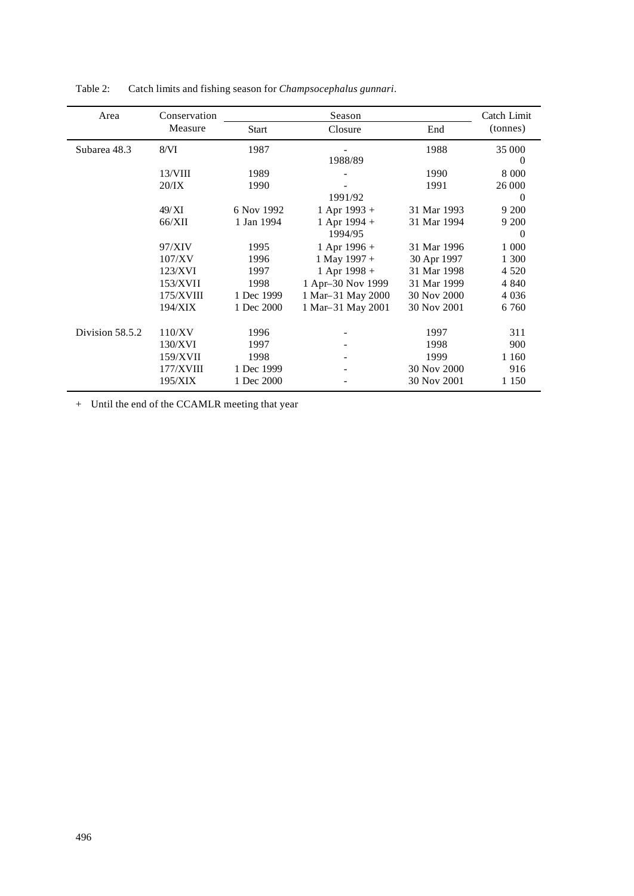| Area            | Conservation |              | Season            |             | Catch Limit<br>(tonnes) |
|-----------------|--------------|--------------|-------------------|-------------|-------------------------|
|                 | Measure      | <b>Start</b> | Closure           | End         |                         |
| Subarea 48.3    | 8/VI         | 1987         |                   | 1988        | 35 000                  |
|                 |              |              | 1988/89           |             | $\bf{0}$                |
|                 | $13/$ VIII   | 1989         |                   | 1990        | 8 0 0 0                 |
|                 | 20/IX        | 1990         |                   | 1991        | 26 000                  |
|                 |              |              | 1991/92           |             | $\Omega$                |
|                 | 49/XI        | 6 Nov 1992   | $1$ Apr 1993 +    | 31 Mar 1993 | 9 200                   |
|                 | 66/XII       | 1 Jan 1994   | 1 Apr 1994 +      | 31 Mar 1994 | 9 200                   |
|                 |              |              | 1994/95           |             | $\Omega$                |
|                 | 97/XIV       | 1995         | 1 Apr 1996 +      | 31 Mar 1996 | 1 000                   |
|                 | 107/XV       | 1996         | 1 May 1997 +      | 30 Apr 1997 | 1 300                   |
|                 | 123/XVI      | 1997         | 1 Apr 1998 +      | 31 Mar 1998 | 4 5 2 0                 |
|                 | 153/XVII     | 1998         | 1 Apr-30 Nov 1999 | 31 Mar 1999 | 4 8 4 0                 |
|                 | 175/XVIII    | 1 Dec 1999   | 1 Mar-31 May 2000 | 30 Nov 2000 | 4 0 3 6                 |
|                 | 194/XIX      | 1 Dec 2000   | 1 Mar-31 May 2001 | 30 Nov 2001 | 6 7 6 0                 |
| Division 58.5.2 | 110/XV       | 1996         |                   | 1997        | 311                     |
|                 | 130/XVI      | 1997         |                   | 1998        | 900                     |
|                 | 159/XVII     | 1998         |                   | 1999        | 1 1 6 0                 |
|                 | 177/XVIII    | 1 Dec 1999   |                   | 30 Nov 2000 | 916                     |
|                 | 195/XIX      | 1 Dec 2000   |                   | 30 Nov 2001 | 1 1 5 0                 |

Table 2: Catch limits and fishing season for *Champsocephalus gunnari*.

+ Until the end of the CCAMLR meeting that year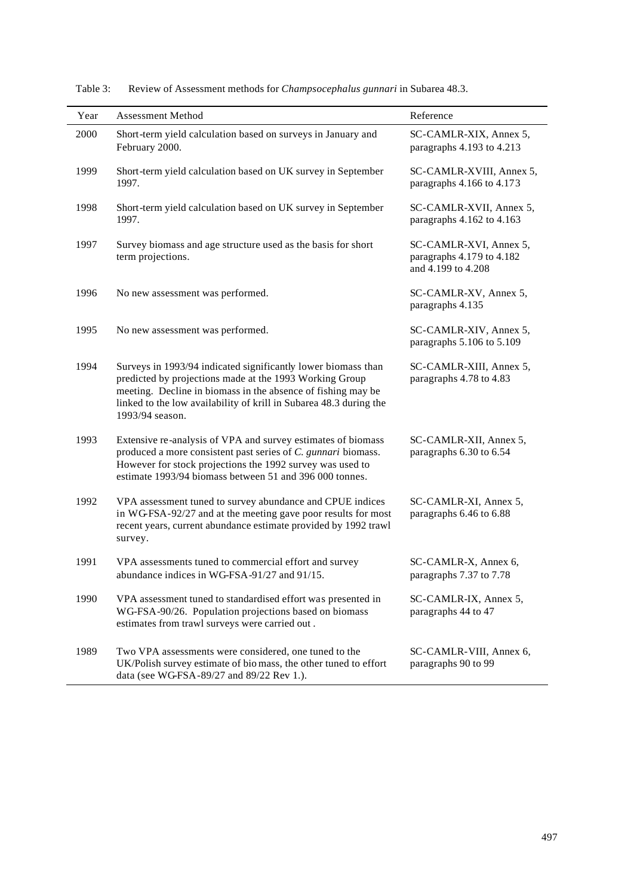| Year | <b>Assessment Method</b>                                                                                                                                                                                                                                                          | Reference                                                                 |
|------|-----------------------------------------------------------------------------------------------------------------------------------------------------------------------------------------------------------------------------------------------------------------------------------|---------------------------------------------------------------------------|
| 2000 | Short-term yield calculation based on surveys in January and<br>February 2000.                                                                                                                                                                                                    | SC-CAMLR-XIX, Annex 5,<br>paragraphs 4.193 to 4.213                       |
| 1999 | Short-term yield calculation based on UK survey in September<br>1997.                                                                                                                                                                                                             | SC-CAMLR-XVIII, Annex 5,<br>paragraphs 4.166 to 4.173                     |
| 1998 | Short-term yield calculation based on UK survey in September<br>1997.                                                                                                                                                                                                             | SC-CAMLR-XVII, Annex 5,<br>paragraphs 4.162 to 4.163                      |
| 1997 | Survey biomass and age structure used as the basis for short<br>term projections.                                                                                                                                                                                                 | SC-CAMLR-XVI, Annex 5,<br>paragraphs 4.179 to 4.182<br>and 4.199 to 4.208 |
| 1996 | No new assessment was performed.                                                                                                                                                                                                                                                  | SC-CAMLR-XV, Annex 5,<br>paragraphs 4.135                                 |
| 1995 | No new assessment was performed.                                                                                                                                                                                                                                                  | SC-CAMLR-XIV, Annex 5,<br>paragraphs 5.106 to 5.109                       |
| 1994 | Surveys in 1993/94 indicated significantly lower biomass than<br>predicted by projections made at the 1993 Working Group<br>meeting. Decline in biomass in the absence of fishing may be<br>linked to the low availability of krill in Subarea 48.3 during the<br>1993/94 season. | SC-CAMLR-XIII, Annex 5,<br>paragraphs 4.78 to 4.83                        |
| 1993 | Extensive re-analysis of VPA and survey estimates of biomass<br>produced a more consistent past series of C. gunnari biomass.<br>However for stock projections the 1992 survey was used to<br>estimate 1993/94 biomass between 51 and 396 000 tonnes.                             | SC-CAMLR-XII, Annex 5,<br>paragraphs 6.30 to 6.54                         |
| 1992 | VPA assessment tuned to survey abundance and CPUE indices<br>in WGFSA-92/27 and at the meeting gave poor results for most<br>recent years, current abundance estimate provided by 1992 trawl<br>survey.                                                                           | SC-CAMLR-XI, Annex 5,<br>paragraphs 6.46 to 6.88                          |
| 1991 | VPA assessments tuned to commercial effort and survey<br>abundance indices in WG-FSA-91/27 and 91/15.                                                                                                                                                                             | SC-CAMLR-X, Annex 6,<br>paragraphs 7.37 to 7.78                           |
| 1990 | VPA assessment tuned to standardised effort was presented in<br>WG-FSA-90/26. Population projections based on biomass<br>estimates from trawl surveys were carried out.                                                                                                           | SC-CAMLR-IX, Annex 5,<br>paragraphs 44 to 47                              |
| 1989 | Two VPA assessments were considered, one tuned to the<br>UK/Polish survey estimate of bio mass, the other tuned to effort<br>data (see WG-FSA-89/27 and 89/22 Rev 1.).                                                                                                            | SC-CAMLR-VIII, Annex 6,<br>paragraphs 90 to 99                            |

Table 3: Review of Assessment methods for *Champsocephalus gunnari* in Subarea 48.3.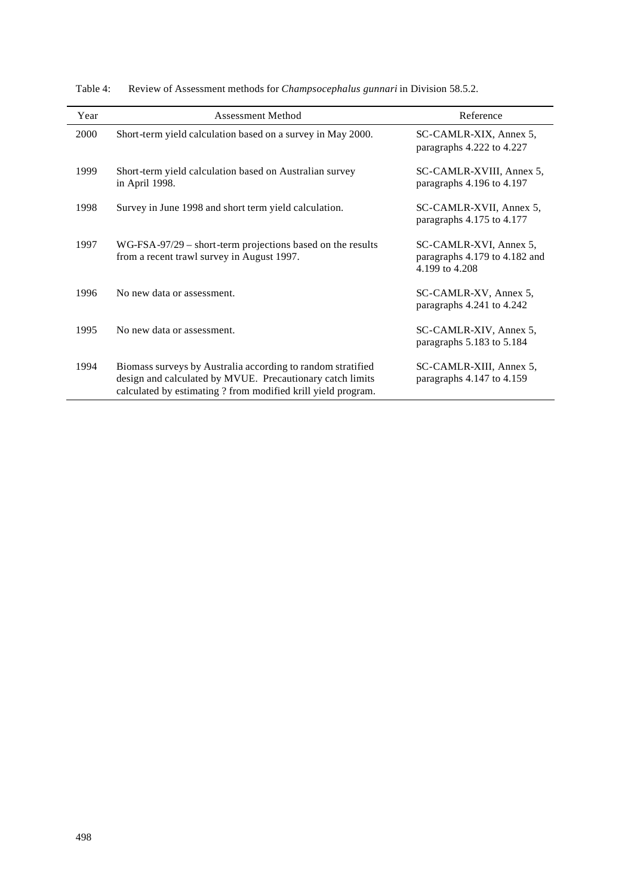| Year | <b>Assessment Method</b>                                                                                                                                                                  | Reference                                                                 |
|------|-------------------------------------------------------------------------------------------------------------------------------------------------------------------------------------------|---------------------------------------------------------------------------|
| 2000 | Short-term yield calculation based on a survey in May 2000.                                                                                                                               | SC-CAMLR-XIX, Annex 5,<br>paragraphs 4.222 to 4.227                       |
| 1999 | Short-term yield calculation based on Australian survey<br>in April 1998.                                                                                                                 | SC-CAMLR-XVIII, Annex 5,<br>paragraphs 4.196 to 4.197                     |
| 1998 | Survey in June 1998 and short term yield calculation.                                                                                                                                     | SC-CAMLR-XVII, Annex 5,<br>paragraphs 4.175 to 4.177                      |
| 1997 | $WG-FSA-97/29$ – short-term projections based on the results<br>from a recent trawl survey in August 1997.                                                                                | SC-CAMLR-XVI, Annex 5,<br>paragraphs 4.179 to 4.182 and<br>4.199 to 4.208 |
| 1996 | No new data or assessment.                                                                                                                                                                | SC-CAMLR-XV, Annex 5,<br>paragraphs 4.241 to 4.242                        |
| 1995 | No new data or assessment.                                                                                                                                                                | SC-CAMLR-XIV, Annex 5,<br>paragraphs 5.183 to 5.184                       |
| 1994 | Biomass surveys by Australia according to random stratified<br>design and calculated by MVUE. Precautionary catch limits<br>calculated by estimating ? from modified krill yield program. | SC-CAMLR-XIII, Annex 5,<br>paragraphs 4.147 to 4.159                      |

Table 4: Review of Assessment methods for *Champsocephalus gunnari* in Division 58.5.2.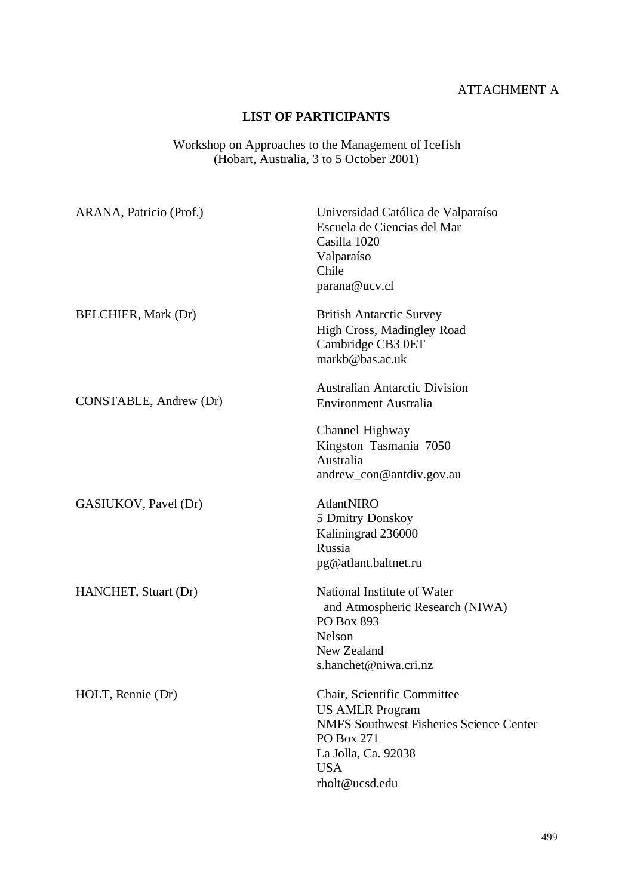# ATTACHMENT A

## **LIST OF PARTICIPANTS**

#### Workshop on Approaches to the Management of Icefish (Hobart, Australia, 3 to 5 October 2001)

| Universidad Católica de Valparaíso<br>Escuela de Ciencias del Mar<br>Casilla 1020<br>Valparaíso<br>Chile<br>parana@ucv.cl                                                    |
|------------------------------------------------------------------------------------------------------------------------------------------------------------------------------|
| <b>British Antarctic Survey</b><br>High Cross, Madingley Road<br>Cambridge CB3 0ET<br>markb@bas.ac.uk                                                                        |
| <b>Australian Antarctic Division</b><br><b>Environment Australia</b>                                                                                                         |
| Channel Highway<br>Kingston Tasmania 7050<br>Australia<br>andrew_con@antdiv.gov.au                                                                                           |
| <b>AtlantNIRO</b><br>5 Dmitry Donskoy<br>Kaliningrad 236000<br>Russia<br>pg@atlant.baltnet.ru                                                                                |
| National Institute of Water<br>and Atmospheric Research (NIWA)<br><b>PO Box 893</b><br>Nelson<br>New Zealand<br>s.hanchet@niwa.cri.nz                                        |
| Chair, Scientific Committee<br><b>US AMLR Program</b><br><b>NMFS Southwest Fisheries Science Center</b><br>PO Box 271<br>La Jolla, Ca. 92038<br><b>USA</b><br>rholt@ucsd.edu |
|                                                                                                                                                                              |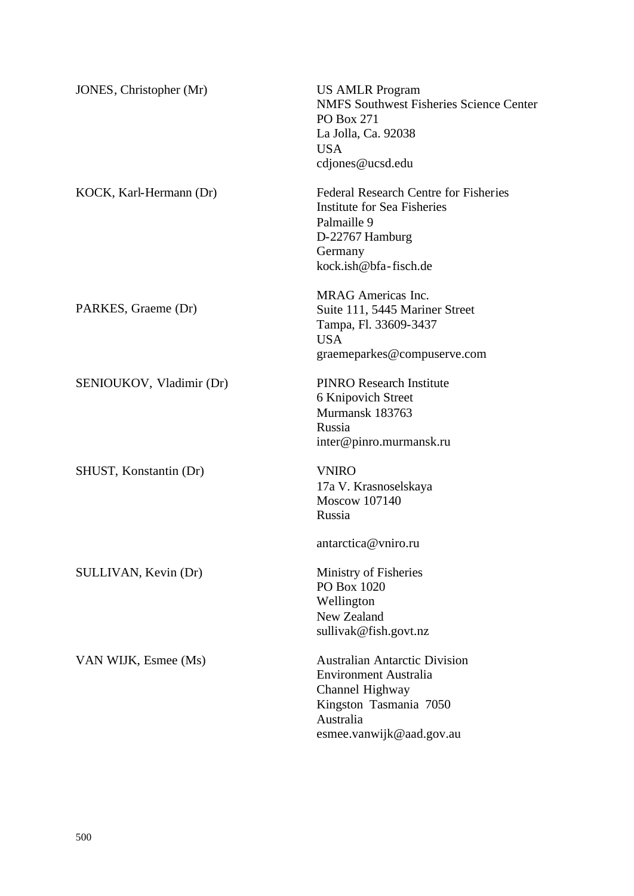| JONES, Christopher (Mr)  | <b>US AMLR Program</b><br><b>NMFS Southwest Fisheries Science Center</b><br>PO Box 271<br>La Jolla, Ca. 92038<br><b>USA</b><br>cdjones@ucsd.edu            |
|--------------------------|------------------------------------------------------------------------------------------------------------------------------------------------------------|
| KOCK, Karl-Hermann (Dr)  | <b>Federal Research Centre for Fisheries</b><br>Institute for Sea Fisheries<br>Palmaille 9<br>D-22767 Hamburg<br>Germany<br>kock.ish@bfa-fisch.de          |
| PARKES, Graeme (Dr)      | <b>MRAG</b> Americas Inc.<br>Suite 111, 5445 Mariner Street<br>Tampa, Fl. 33609-3437<br><b>USA</b><br>graemeparkes@compuserve.com                          |
| SENIOUKOV, Vladimir (Dr) | <b>PINRO Research Institute</b><br>6 Knipovich Street<br>Murmansk 183763<br>Russia<br>inter@pinro.murmansk.ru                                              |
| SHUST, Konstantin (Dr)   | <b>VNIRO</b><br>17a V. Krasnoselskaya<br><b>Moscow 107140</b><br>Russia<br>antarctica@vniro.ru                                                             |
| SULLIVAN, Kevin (Dr)     | Ministry of Fisheries<br>PO Box 1020<br>Wellington<br>New Zealand<br>sullivak@fish.govt.nz                                                                 |
| VAN WIJK, Esmee (Ms)     | <b>Australian Antarctic Division</b><br><b>Environment Australia</b><br>Channel Highway<br>Kingston Tasmania 7050<br>Australia<br>esmee.vanwijk@aad.gov.au |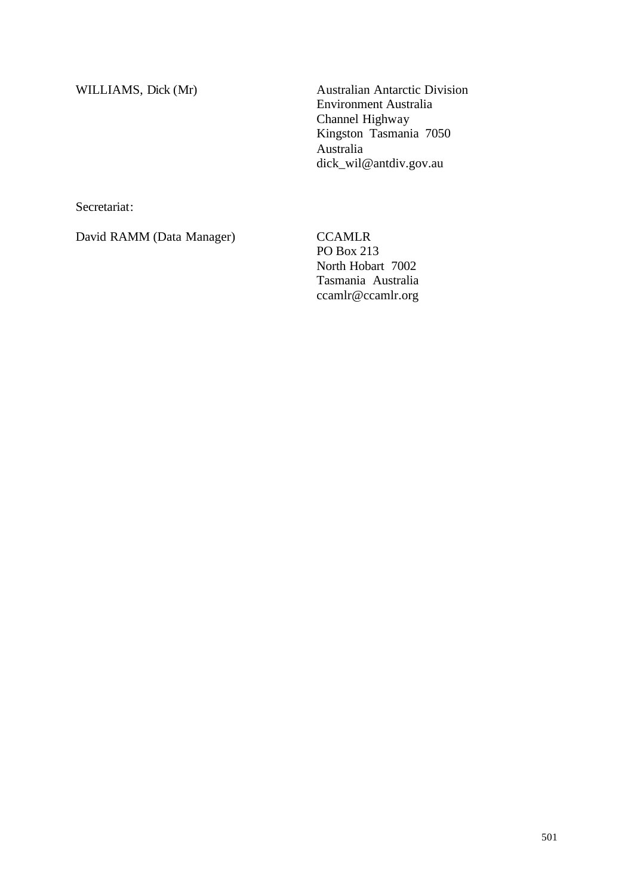WILLIAMS, Dick (Mr) Australian Antarctic Division Environment Australia Channel Highway Kingston Tasmania 7050 Australia dick\_wil@antdiv.gov.au

Secretariat:

David RAMM (Data Manager) CCAMLR

PO Box 213 North Hobart 7002 Tasmania Australia ccamlr@ccamlr.org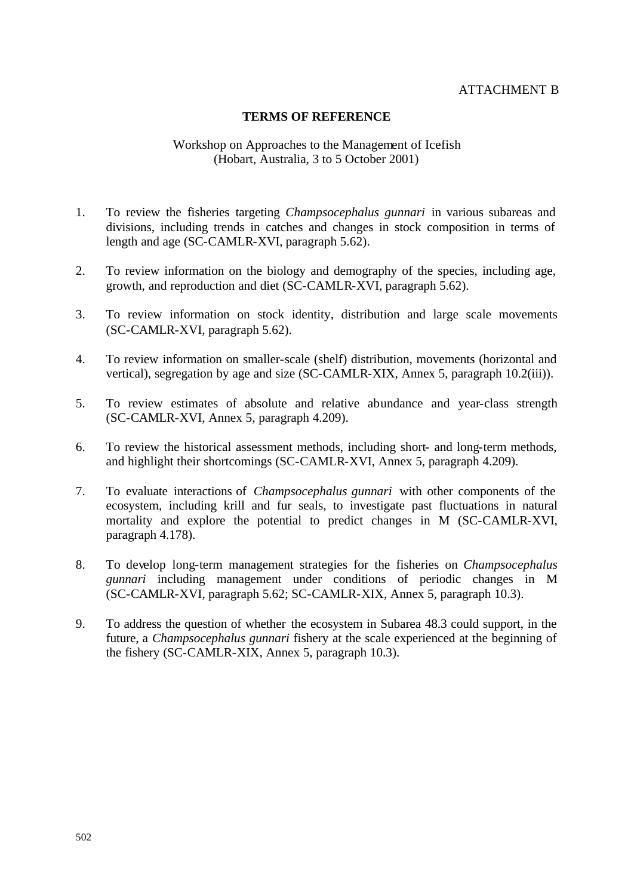#### ATTACHMENT B

#### **TERMS OF REFERENCE**

#### Workshop on Approaches to the Management of Icefish (Hobart, Australia, 3 to 5 October 2001)

- 1. To review the fisheries targeting *Champsocephalus gunnari* in various subareas and divisions, including trends in catches and changes in stock composition in terms of length and age (SC-CAMLR-XVI, paragraph 5.62).
- 2. To review information on the biology and demography of the species, including age, growth, and reproduction and diet (SC-CAMLR-XVI, paragraph 5.62).
- 3. To review information on stock identity, distribution and large scale movements (SC-CAMLR-XVI, paragraph 5.62).
- 4. To review information on smaller-scale (shelf) distribution, movements (horizontal and vertical), segregation by age and size (SC-CAMLR-XIX, Annex 5, paragraph 10.2(iii)).
- 5. To review estimates of absolute and relative abundance and year-class strength (SC-CAMLR-XVI, Annex 5, paragraph 4.209).
- 6. To review the historical assessment methods, including short- and long-term methods, and highlight their shortcomings (SC-CAMLR-XVI, Annex 5, paragraph 4.209).
- 7. To evaluate interactions of *Champsocephalus gunnari* with other components of the ecosystem, including krill and fur seals, to investigate past fluctuations in natural mortality and explore the potential to predict changes in M (SC-CAMLR-XVI, paragraph 4.178).
- 8. To develop long-term management strategies for the fisheries on *Champsocephalus gunnari* including management under conditions of periodic changes in M (SC-CAMLR-XVI, paragraph 5.62; SC-CAMLR-XIX, Annex 5, paragraph 10.3).
- 9. To address the question of whether the ecosystem in Subarea 48.3 could support, in the future, a *Champsocephalus gunnari* fishery at the scale experienced at the beginning of the fishery (SC-CAMLR-XIX, Annex 5, paragraph 10.3).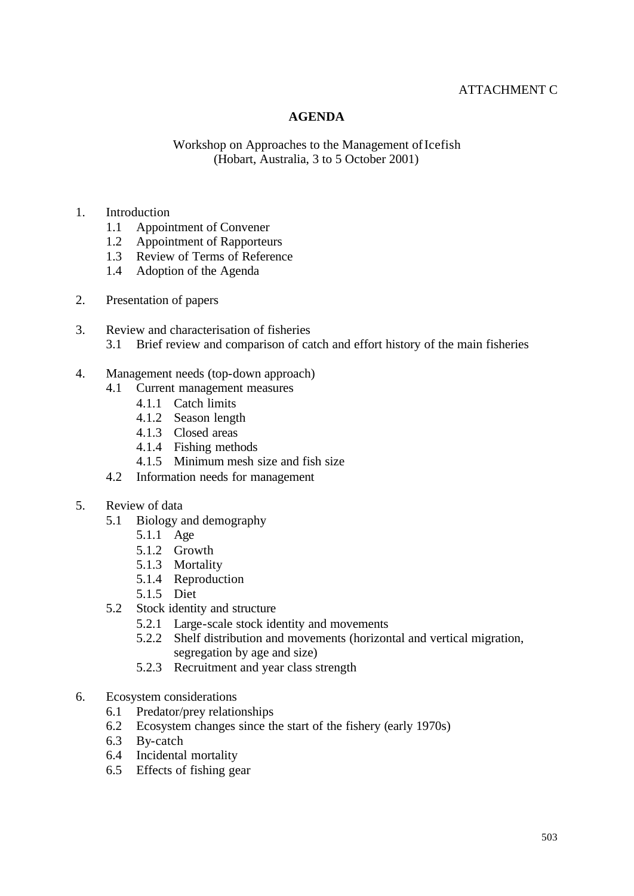## ATTACHMENT C

#### **AGENDA**

#### Workshop on Approaches to the Management of Icefish (Hobart, Australia, 3 to 5 October 2001)

#### 1. Introduction

- 1.1 Appointment of Convener
- 1.2 Appointment of Rapporteurs
- 1.3 Review of Terms of Reference
- 1.4 Adoption of the Agenda
- 2. Presentation of papers
- 3. Review and characterisation of fisheries 3.1 Brief review and comparison of catch and effort history of the main fisheries

#### 4. Management needs (top-down approach)

- 4.1 Current management measures
	- 4.1.1 Catch limits
	- 4.1.2 Season length
	- 4.1.3 Closed areas
	- 4.1.4 Fishing methods
	- 4.1.5 Minimum mesh size and fish size
- 4.2 Information needs for management
- 5. Review of data
	- 5.1 Biology and demography
		- 5.1.1 Age
		- 5.1.2 Growth
		- 5.1.3 Mortality
		- 5.1.4 Reproduction
		- 5.1.5 Diet
	- 5.2 Stock identity and structure
		- 5.2.1 Large-scale stock identity and movements
		- 5.2.2 Shelf distribution and movements (horizontal and vertical migration, segregation by age and size)
		- 5.2.3 Recruitment and year class strength
- 6. Ecosystem considerations
	- 6.1 Predator/prey relationships
	- 6.2 Ecosystem changes since the start of the fishery (early 1970s)
	- 6.3 By-catch
	- 6.4 Incidental mortality
	- 6.5 Effects of fishing gear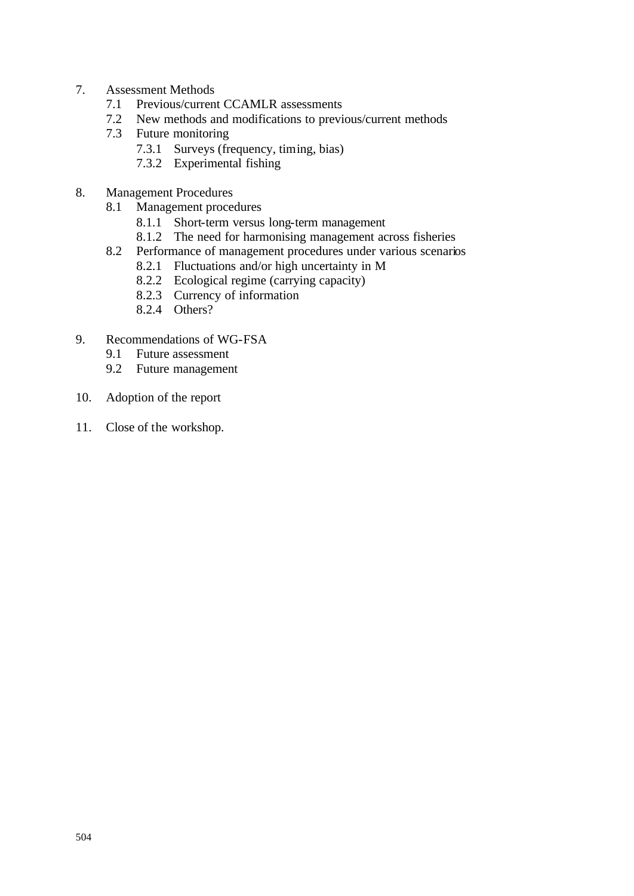- 7. Assessment Methods
	- 7.1 Previous/current CCAMLR assessments
	- 7.2 New methods and modifications to previous/current methods
	- 7.3 Future monitoring
		- 7.3.1 Surveys (frequency, timing, bias)
		- 7.3.2 Experimental fishing
- 8. Management Procedures
	- 8.1 Management procedures
		- 8.1.1 Short-term versus long-term management
		- 8.1.2 The need for harmonising management across fisheries
	- 8.2 Performance of management procedures under various scenarios
		- 8.2.1 Fluctuations and/or high uncertainty in M
		- 8.2.2 Ecological regime (carrying capacity)
		- 8.2.3 Currency of information
		- 8.2.4 Others?
- 9. Recommendations of WG-FSA
	- 9.1 Future assessment
	- 9.2 Future management
- 10. Adoption of the report
- 11. Close of the workshop.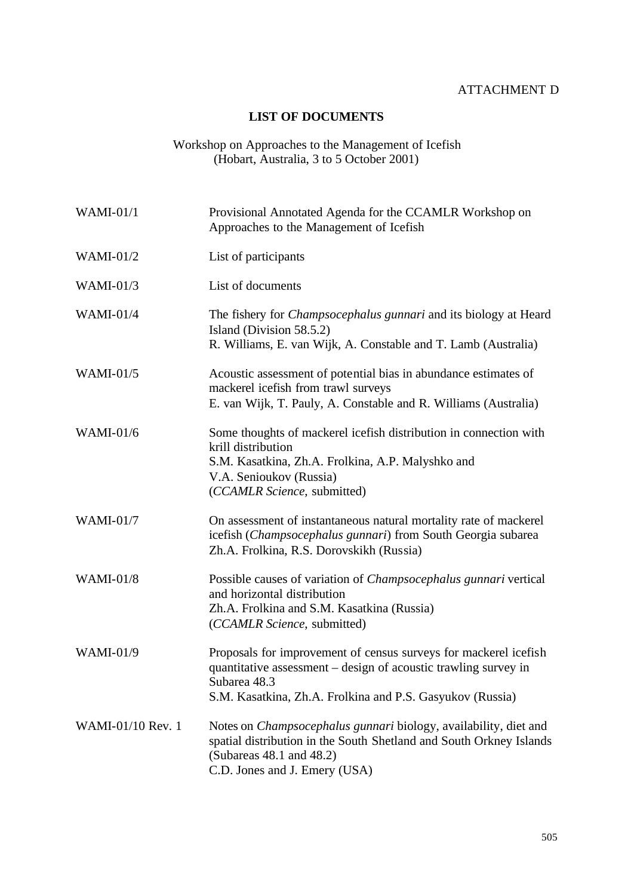## ATTACHMENT D

## **LIST OF DOCUMENTS**

#### Workshop on Approaches to the Management of Icefish (Hobart, Australia, 3 to 5 October 2001)

| <b>WAMI-01/1</b>  | Provisional Annotated Agenda for the CCAMLR Workshop on<br>Approaches to the Management of Icefish                                                                                                               |
|-------------------|------------------------------------------------------------------------------------------------------------------------------------------------------------------------------------------------------------------|
| WAMI- $01/2$      | List of participants                                                                                                                                                                                             |
| WAMI- $01/3$      | List of documents                                                                                                                                                                                                |
| <b>WAMI-01/4</b>  | The fishery for <i>Champsocephalus gunnari</i> and its biology at Heard<br>Island (Division 58.5.2)<br>R. Williams, E. van Wijk, A. Constable and T. Lamb (Australia)                                            |
| WAMI- $01/5$      | Acoustic assessment of potential bias in abundance estimates of<br>mackerel icefish from trawl surveys<br>E. van Wijk, T. Pauly, A. Constable and R. Williams (Australia)                                        |
| <b>WAMI-01/6</b>  | Some thoughts of mackerel icefish distribution in connection with<br>krill distribution<br>S.M. Kasatkina, Zh.A. Frolkina, A.P. Malyshko and<br>V.A. Senioukov (Russia)<br>(CCAMLR Science, submitted)           |
| WAMI- $01/7$      | On assessment of instantaneous natural mortality rate of mackerel<br>icefish (Champsocephalus gunnari) from South Georgia subarea<br>Zh.A. Frolkina, R.S. Dorovskikh (Russia)                                    |
| <b>WAMI-01/8</b>  | Possible causes of variation of <i>Champsocephalus gunnari</i> vertical<br>and horizontal distribution<br>Zh.A. Frolkina and S.M. Kasatkina (Russia)<br>(CCAMLR Science, submitted)                              |
| WAMI-01/9         | Proposals for improvement of census surveys for mackerel icefish<br>quantitative assessment – design of acoustic trawling survey in<br>Subarea 48.3<br>S.M. Kasatkina, Zh.A. Frolkina and P.S. Gasyukov (Russia) |
| WAMI-01/10 Rev. 1 | Notes on <i>Champsocephalus gunnari</i> biology, availability, diet and<br>spatial distribution in the South Shetland and South Orkney Islands<br>(Subareas $48.1$ and $48.2$ )<br>C.D. Jones and J. Emery (USA) |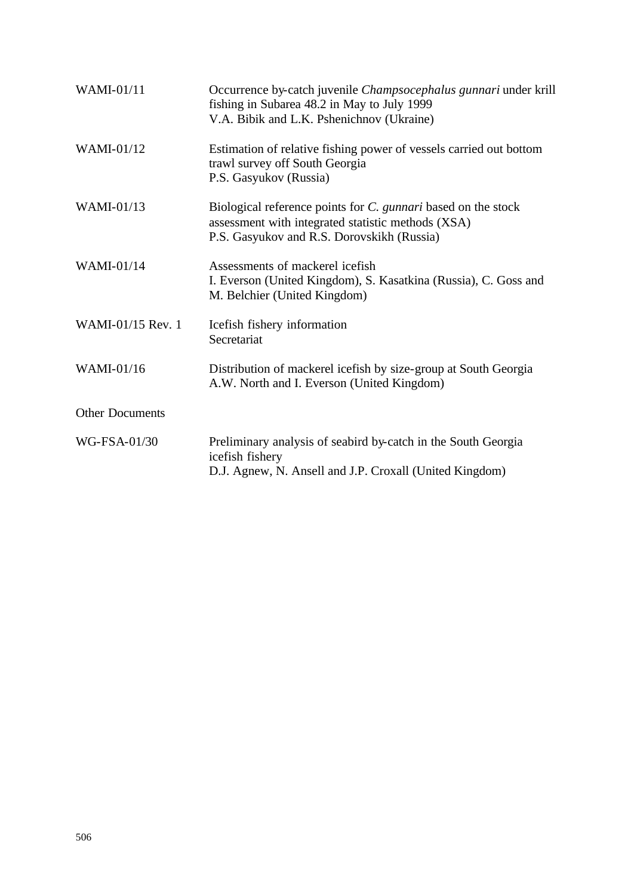| <b>WAMI-01/11</b>      | Occurrence by-catch juvenile <i>Champsocephalus gunnari</i> under krill<br>fishing in Subarea 48.2 in May to July 1999<br>V.A. Bibik and L.K. Pshenichnov (Ukraine) |
|------------------------|---------------------------------------------------------------------------------------------------------------------------------------------------------------------|
| WAMI-01/12             | Estimation of relative fishing power of vessels carried out bottom<br>trawl survey off South Georgia<br>P.S. Gasyukov (Russia)                                      |
| WAMI-01/13             | Biological reference points for C. gunnari based on the stock<br>assessment with integrated statistic methods (XSA)<br>P.S. Gasyukov and R.S. Dorovskikh (Russia)   |
| <b>WAMI-01/14</b>      | Assessments of mackerel icefish<br>I. Everson (United Kingdom), S. Kasatkina (Russia), C. Goss and<br>M. Belchier (United Kingdom)                                  |
| WAMI-01/15 Rev. 1      | Icefish fishery information<br>Secretariat                                                                                                                          |
| WAMI-01/16             | Distribution of mackerel icefish by size-group at South Georgia<br>A.W. North and I. Everson (United Kingdom)                                                       |
| <b>Other Documents</b> |                                                                                                                                                                     |
| WG-FSA-01/30           | Preliminary analysis of seabird by-catch in the South Georgia<br>icefish fishery<br>D.J. Agnew, N. Ansell and J.P. Croxall (United Kingdom)                         |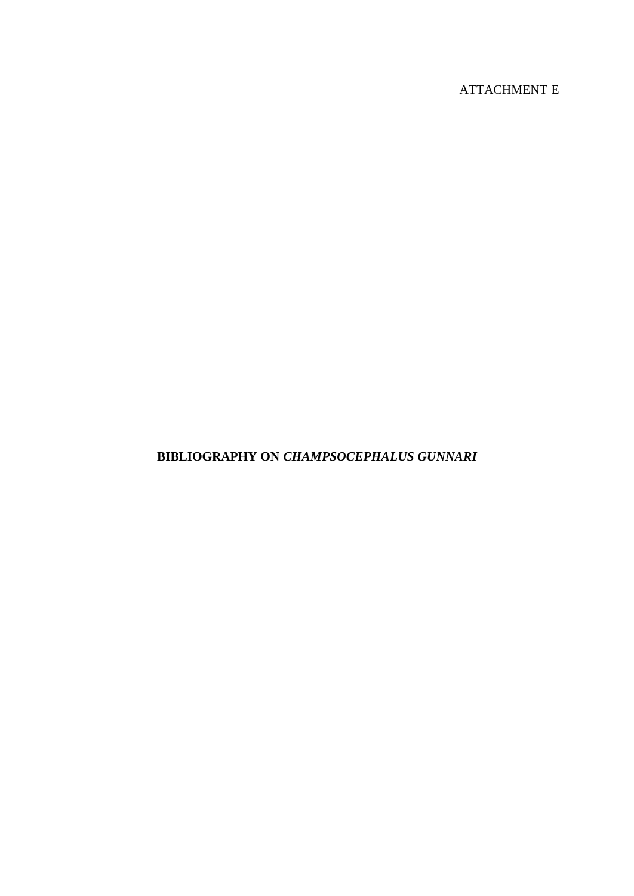# ATTACHMENT E

## **BIBLIOGRAPHY ON** *CHAMPSOCEPHALUS GUNNARI*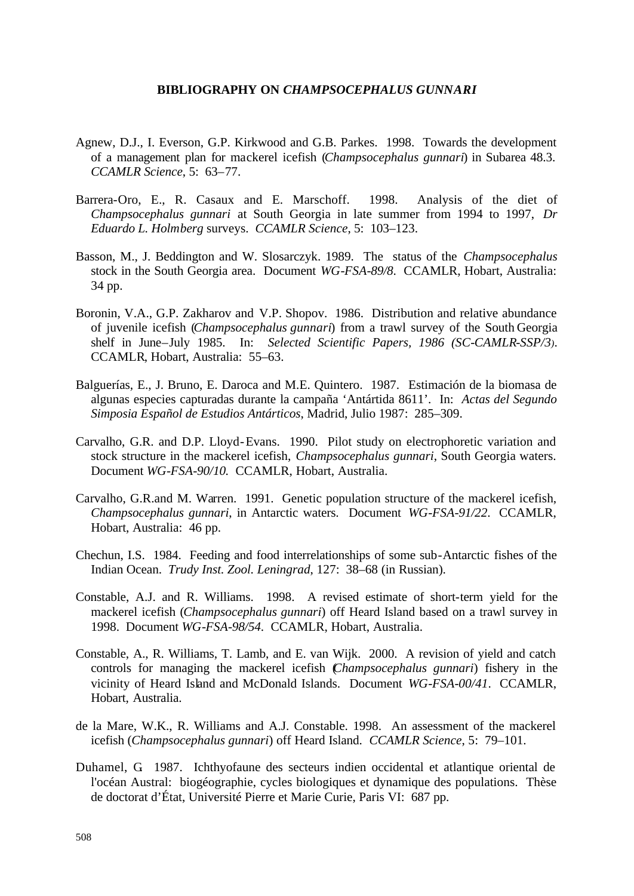#### **BIBLIOGRAPHY ON** *CHAMPSOCEPHALUS GUNNARI*

- Agnew, D.J., I. Everson, G.P. Kirkwood and G.B. Parkes. 1998. Towards the development of a management plan for mackerel icefish (*Champsocephalus gunnari*) in Subarea 48.3. *CCAMLR Science*, 5: 63–77.
- Barrera-Oro, E., R. Casaux and E. Marschoff. 1998. Analysis of the diet of *Champsocephalus gunnari* at South Georgia in late summer from 1994 to 1997, *Dr Eduardo L. Holmberg* surveys. *CCAMLR Science*, 5: 103–123.
- Basson, M., J. Beddington and W. Slosarczyk. 1989. The status of the *Champsocephalus*  stock in the South Georgia area. Document *WG-FSA-89/8*. CCAMLR, Hobart, Australia: 34 pp.
- Boronin, V.A., G.P. Zakharov and V.P. Shopov. 1986. Distribution and relative abundance of juvenile icefish (*Champsocephalus gunnari*) from a trawl survey of the South Georgia shelf in June–July 1985. In: *Selected Scientific Papers, 1986 (SC-CAMLR-SSP/3)*. CCAMLR, Hobart, Australia: 55–63.
- Balguerías, E., J. Bruno, E. Daroca and M.E. Quintero. 1987. Estimación de la biomasa de algunas especies capturadas durante la campaña 'Antártida 8611'. In: *Actas del Segundo Simposia Español de Estudios Antárticos*, Madrid, Julio 1987: 285–309.
- Carvalho, G.R. and D.P. Lloyd-Evans. 1990. Pilot study on electrophoretic variation and stock structure in the mackerel icefish, *Champsocephalus gunnari*, South Georgia waters. Document *WG-FSA-90/10.* CCAMLR, Hobart, Australia.
- Carvalho, G.R.and M. Warren. 1991. Genetic population structure of the mackerel icefish, *Champsocephalus gunnari*, in Antarctic waters. Document *WG-FSA-91/22*. CCAMLR, Hobart, Australia: 46 pp.
- Chechun, I.S. 1984. Feeding and food interrelationships of some sub-Antarctic fishes of the Indian Ocean. *Trudy Inst. Zool. Leningrad*, 127: 38–68 (in Russian).
- Constable, A.J. and R. Williams. 1998. A revised estimate of short-term yield for the mackerel icefish (*Champsocephalus gunnari*) off Heard Island based on a trawl survey in 1998. Document *WG-FSA-98/54*. CCAMLR, Hobart, Australia.
- Constable, A., R. Williams, T. Lamb, and E. van Wijk. 2000. A revision of yield and catch controls for managing the mackerel icefish (*Champsocephalus gunnari*) fishery in the vicinity of Heard Island and McDonald Islands. Document *WG-FSA-00/41*. CCAMLR, Hobart, Australia.
- de la Mare, W.K., R. Williams and A.J. Constable. 1998. An assessment of the mackerel icefish (*Champsocephalus gunnari*) off Heard Island. *CCAMLR Science*, 5: 79–101.
- Duhamel, G. 1987. Ichthyofaune des secteurs indien occidental et atlantique oriental de l'océan Austral: biogéographie, cycles biologiques et dynamique des populations. Thèse de doctorat d'État, Université Pierre et Marie Curie, Paris VI: 687 pp.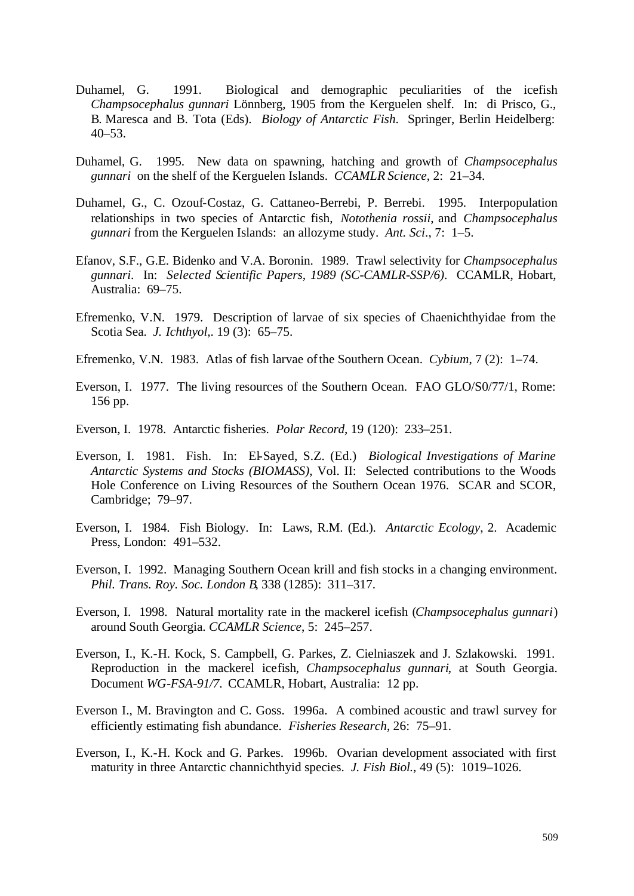- Duhamel, G. 1991. Biological and demographic peculiarities of the icefish *Champsocephalus gunnari* Lönnberg, 1905 from the Kerguelen shelf. In: di Prisco, G., B. Maresca and B. Tota (Eds). *Biology of Antarctic Fish*. Springer, Berlin Heidelberg: 40–53.
- Duhamel, G. 1995. New data on spawning, hatching and growth of *Champsocephalus gunnari* on the shelf of the Kerguelen Islands. *CCAMLR Science*, 2: 21–34.
- Duhamel, G., C. Ozouf-Costaz, G. Cattaneo-Berrebi, P. Berrebi. 1995. Interpopulation relationships in two species of Antarctic fish, *Notothenia rossii*, and *Champsocephalus gunnari* from the Kerguelen Islands: an allozyme study. *Ant. Sci*., 7: 1–5.
- Efanov, S.F., G.E. Bidenko and V.A. Boronin. 1989. Trawl selectivity for *Champsocephalus gunnari*. In: *Selected Scientific Papers, 1989 (SC-CAMLR-SSP/6)*. CCAMLR, Hobart, Australia: 69–75.
- Efremenko, V.N. 1979. Description of larvae of six species of Chaenichthyidae from the Scotia Sea. *J. Ichthyol,*. 19 (3): 65–75.
- Efremenko, V.N. 1983. Atlas of fish larvae of the Southern Ocean. *Cybium*, 7 (2): 1–74.
- Everson, I. 1977. The living resources of the Southern Ocean. FAO GLO/S0/77/1, Rome: 156 pp.
- Everson, I. 1978. Antarctic fisheries. *Polar Record*, 19 (120): 233–251.
- Everson, I. 1981. Fish. In: El-Sayed, S.Z. (Ed.) *Biological Investigations of Marine Antarctic Systems and Stocks (BIOMASS)*, Vol. II: Selected contributions to the Woods Hole Conference on Living Resources of the Southern Ocean 1976. SCAR and SCOR, Cambridge; 79–97.
- Everson, I. 1984. Fish Biology. In: Laws, R.M. (Ed.). *Antarctic Ecology*, 2. Academic Press, London: 491–532.
- Everson, I. 1992. Managing Southern Ocean krill and fish stocks in a changing environment. *Phil. Trans. Roy. Soc. London B*, 338 (1285): 311–317.
- Everson, I. 1998. Natural mortality rate in the mackerel icefish (*Champsocephalus gunnari*) around South Georgia. *CCAMLR Science*, 5: 245–257.
- Everson, I., K.-H. Kock, S. Campbell, G. Parkes, Z. Cielniaszek and J. Szlakowski. 1991. Reproduction in the mackerel icefish, *Champsocephalus gunnari*, at South Georgia. Document *WG-FSA-91/7*. CCAMLR, Hobart, Australia: 12 pp.
- Everson I., M. Bravington and C. Goss. 1996a. A combined acoustic and trawl survey for efficiently estimating fish abundance. *Fisheries Research*, 26: 75–91.
- Everson, I., K.-H. Kock and G. Parkes. 1996b. Ovarian development associated with first maturity in three Antarctic channichthyid species. *J. Fish Biol.*, 49 (5): 1019–1026.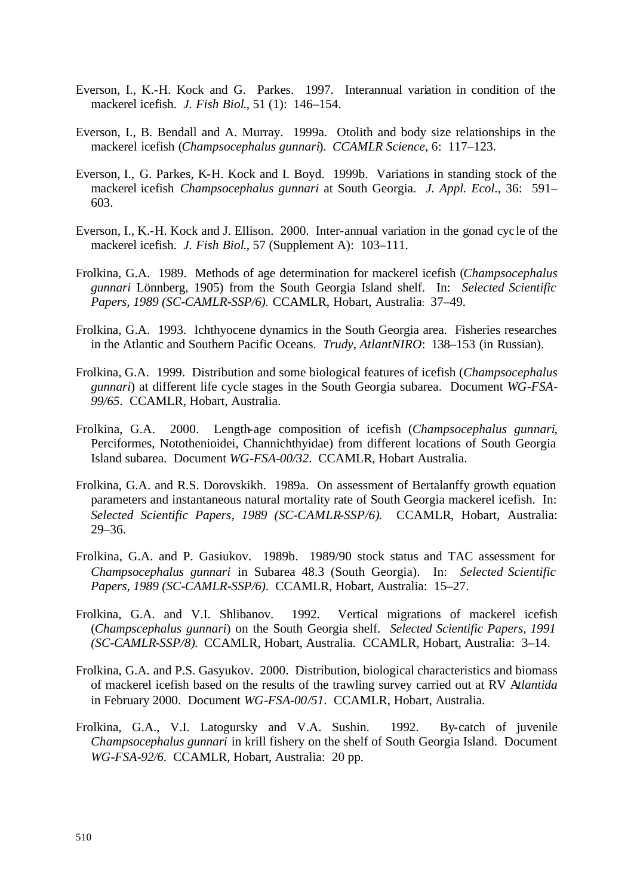- Everson, I., K.-H. Kock and G. Parkes. 1997. Interannual variation in condition of the mackerel icefish. *J. Fish Biol*., 51 (1): 146–154.
- Everson, I., B. Bendall and A. Murray. 1999a. Otolith and body size relationships in the mackerel icefish (*Champsocephalus gunnari*). *CCAMLR Science*, 6: 117–123.
- Everson, I., G. Parkes, K-H. Kock and I. Boyd. 1999b. Variations in standing stock of the mackerel icefish *Champsocephalus gunnari* at South Georgia. *J. Appl. Ecol*., 36: 591– 603.
- Everson, I., K.-H. Kock and J. Ellison. 2000. Inter-annual variation in the gonad cyc le of the mackerel icefish. *J. Fish Biol*., 57 (Supplement A): 103–111.
- Frolkina, G.A. 1989. Methods of age determination for mackerel icefish (*Champsocephalus gunnari* Lönnberg, 1905) from the South Georgia Island shelf. In: *Selected Scientific Papers, 1989 (SC-CAMLR-SSP/6)*. CCAMLR, Hobart, Australia: 37–49.
- Frolkina, G.A. 1993. Ichthyocene dynamics in the South Georgia area. Fisheries researches in the Atlantic and Southern Pacific Oceans. *Trudy*, *AtlantNIRO*: 138–153 (in Russian).
- Frolkina, G.A. 1999. Distribution and some biological features of icefish (*Champsocephalus gunnari*) at different life cycle stages in the South Georgia subarea. Document *WG-FSA-99/65*. CCAMLR, Hobart, Australia.
- Frolkina, G.A. 2000. Length-age composition of icefish (*Champsocephalus gunnari*, Perciformes, Notothenioidei, Channichthyidae) from different locations of South Georgia Island subarea. Document *WG-FSA-00/32*. CCAMLR, Hobart Australia.
- Frolkina, G.A. and R.S. Dorovskikh. 1989a. On assessment of Bertalanffy growth equation parameters and instantaneous natural mortality rate of South Georgia mackerel icefish. In: *Selected Scientific Papers, 1989 (SC-CAMLR-SSP/6)*. CCAMLR, Hobart, Australia: 29–36.
- Frolkina, G.A. and P. Gasiukov. 1989b. 1989/90 stock status and TAC assessment for *Champsocephalus gunnari* in Subarea 48.3 (South Georgia). In: *Selected Scientific Papers, 1989 (SC-CAMLR-SSP/6)*. CCAMLR, Hobart, Australia: 15–27.
- Frolkina, G.A. and V.I. Shlibanov. 1992. Vertical migrations of mackerel icefish (*Champscephalus gunnari*) on the South Georgia shelf. *Selected Scientific Papers, 1991 (SC-CAMLR-SSP/8)*. CCAMLR, Hobart, Australia. CCAMLR, Hobart, Australia: 3–14.
- Frolkina, G.A. and P.S. Gasyukov. 2000. Distribution, biological characteristics and biomass of mackerel icefish based on the results of the trawling survey carried out at RV A*tlantida* in February 2000. Document *WG-FSA-00/51*. CCAMLR, Hobart, Australia.
- Frolkina, G.A., V.I. Latogursky and V.A. Sushin. 1992. By-catch of juvenile *Champsocephalus gunnari* in krill fishery on the shelf of South Georgia Island. Document *WG-FSA-92/6*. CCAMLR, Hobart, Australia: 20 pp.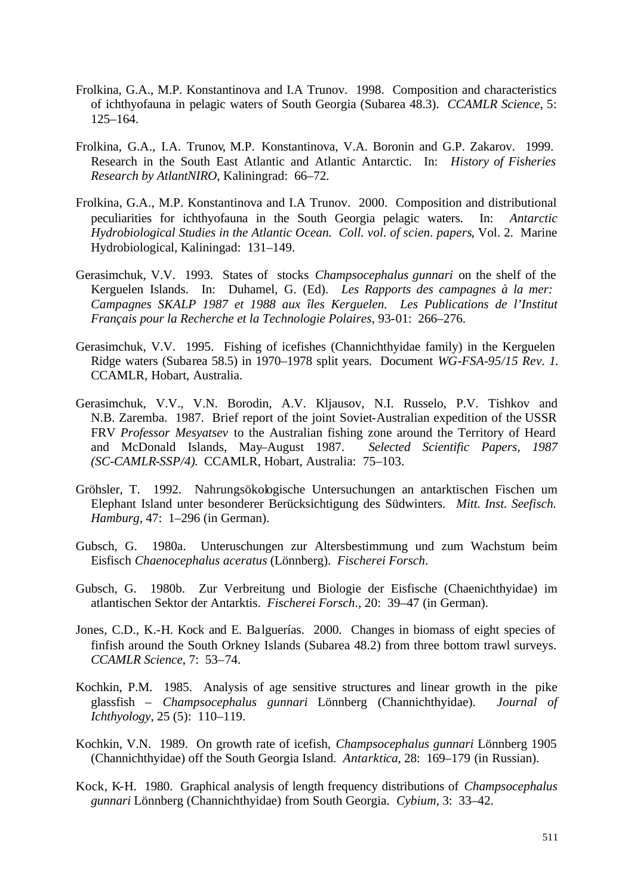- Frolkina, G.A., M.P. Konstantinova and I.A Trunov. 1998. Composition and characteristics of ichthyofauna in pelagic waters of South Georgia (Subarea 48.3). *CCAMLR Science*, 5: 125–164.
- Frolkina, G.A., I.A. Trunov, M.P. Konstantinova, V.A. Boronin and G.P. Zakarov. 1999. Research in the South East Atlantic and Atlantic Antarctic. In: *History of Fisheries Research by AtlantNIRO*, Kaliningrad: 66–72.
- Frolkina, G.A., M.P. Konstantinova and I.A Trunov. 2000. Composition and distributional peculiarities for ichthyofauna in the South Georgia pelagic waters. In: *Antarctic Hydrobiological Studies in the Atlantic Ocean. Coll. vol. of scien. papers*, Vol. 2. Marine Hydrobiological, Kaliningad: 131–149.
- Gerasimchuk, V.V. 1993. States of stocks *Champsocephalus gunnari* on the shelf of the Kerguelen Islands. In: Duhamel, G. (Ed). *Les Rapports des campagnes à la mer: Campagnes SKALP 1987 et 1988 aux îles Kerguelen. Les Publications de l'Institut Français pour la Recherche et la Technologie Polaires*, 93-01: 266–276.
- Gerasimchuk, V.V. 1995. Fishing of icefishes (Channichthyidae family) in the Kerguelen Ridge waters (Subarea 58.5) in 1970–1978 split years. Document *WG-FSA-95/15 Rev. 1*. CCAMLR, Hobart, Australia.
- Gerasimchuk, V.V., V.N. Borodin, A.V. Kljausov, N.I. Russelo, P.V. Tishkov and N.B. Zaremba. 1987. Brief report of the joint Soviet-Australian expedition of the USSR FRV *Professor Mesyatsev* to the Australian fishing zone around the Territory of Heard and McDonald Islands, May–August 1987. *Selected Scientific Papers, 1987 (SC-CAMLR-SSP/4)*. CCAMLR, Hobart, Australia: 75–103.
- Gröhsler, T. 1992. Nahrungsökologische Untersuchungen an antarktischen Fischen um Elephant Island unter besonderer Berücksichtigung des Südwinters. *Mitt. Inst. Seefisch. Hamburg*, 47: 1–296 (in German).
- Gubsch, G. 1980a. Unteruschungen zur Altersbestimmung und zum Wachstum beim Eisfisch *Chaenocephalus aceratus* (Lönnberg). *Fischerei Forsch*.
- Gubsch, G. 1980b. Zur Verbreitung und Biologie der Eisfische (Chaenichthyidae) im atlantischen Sektor der Antarktis. *Fischerei Forsch*., 20: 39–47 (in German).
- Jones, C.D., K.-H. Kock and E. Balguerías. 2000. Changes in biomass of eight species of finfish around the South Orkney Islands (Subarea 48.2) from three bottom trawl surveys. *CCAMLR Science*, 7: 53–74.
- Kochkin, P.M. 1985. Analysis of age sensitive structures and linear growth in the pike glassfish – *Champsocephalus gunnari* Lönnberg (Channichthyidae). *Journal of Ichthyology*, 25 (5): 110–119.
- Kochkin, V.N. 1989. On growth rate of icefish, *Champsocephalus gunnari* Lönnberg 1905 (Channichthyidae) off the South Georgia Island. *Antarktica*, 28: 169–179 (in Russian).
- Kock, K-H. 1980. Graphical analysis of length frequency distributions of *Champsocephalus gunnari* Lönnberg (Channichthyidae) from South Georgia. *Cybium*, 3: 33–42.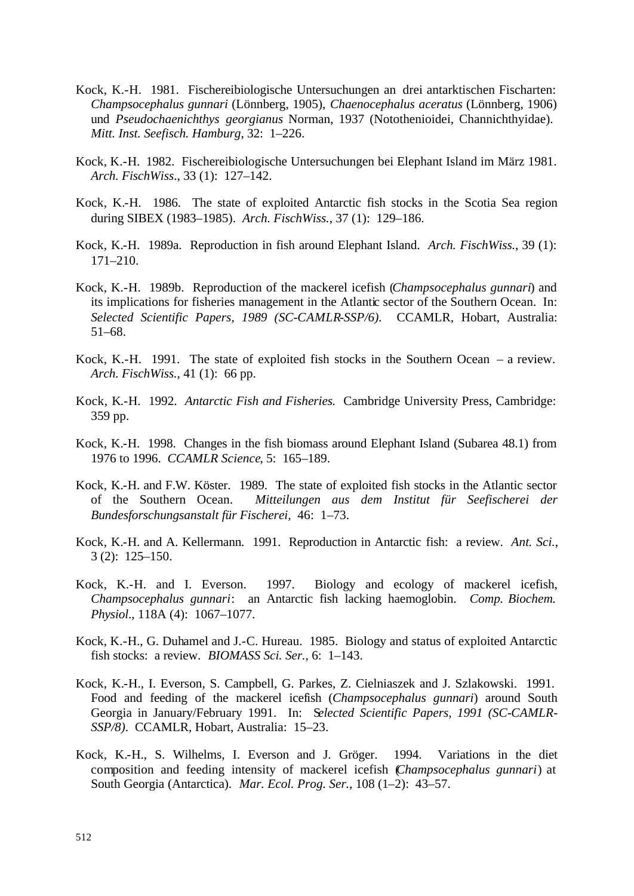- Kock, K.-H. 1981. Fischereibiologische Untersuchungen an drei antarktischen Fischarten: *Champsocephalus gunnari* (Lönnberg, 1905), *Chaenocephalus aceratus* (Lönnberg, 1906) und *Pseudochaenichthys georgianus* Norman, 1937 (Notothenioidei, Channichthyidae). *Mitt. Inst. Seefisch. Hamburg*, 32: 1–226.
- Kock, K.-H. 1982. Fischereibiologische Untersuchungen bei Elephant Island im März 1981. *Arch. FischWiss*., 33 (1): 127–142.
- Kock, K.-H. 1986. The state of exploited Antarctic fish stocks in the Scotia Sea region during SIBEX (1983–1985). *Arch. FischWiss.*, 37 (1): 129–186.
- Kock, K.-H. 1989a. Reproduction in fish around Elephant Island. *Arch. FischWiss.*, 39 (1): 171–210.
- Kock, K.-H. 1989b. Reproduction of the mackerel icefish (*Champsocephalus gunnari*) and its implications for fisheries management in the Atlantic sector of the Southern Ocean. In: *Selected Scientific Papers, 1989 (SC-CAMLR-SSP/6).* CCAMLR, Hobart, Australia: 51–68.
- Kock, K.-H. 1991. The state of exploited fish stocks in the Southern Ocean a review. *Arch. FischWiss.*, 41 (1): 66 pp.
- Kock, K.-H. 1992. *Antarctic Fish and Fisheries.* Cambridge University Press, Cambridge: 359 pp.
- Kock, K.-H. 1998. Changes in the fish biomass around Elephant Island (Subarea 48.1) from 1976 to 1996. *CCAMLR Science*, 5: 165–189.
- Kock, K.-H. and F.W. Köster. 1989. The state of exploited fish stocks in the Atlantic sector of the Southern Ocean. *Mitteilungen aus dem Institut für Seefischerei der Bundesforschungsanstalt für Fischerei,* 46: 1–73.
- Kock, K.-H. and A. Kellermann. 1991. Reproduction in Antarctic fish: a review. *Ant. Sci.*, 3 (2): 125–150.
- Kock, K.-H. and I. Everson. 1997. Biology and ecology of mackerel icefish, *Champsocephalus gunnari*: an Antarctic fish lacking haemoglobin. *Comp. Biochem. Physiol*., 118A (4): 1067–1077.
- Kock, K.-H., G. Duhamel and J.-C. Hureau. 1985. Biology and status of exploited Antarctic fish stocks: a review. *BIOMASS Sci. Ser.*, 6: 1–143.
- Kock, K.-H., I. Everson, S. Campbell, G. Parkes, Z. Cielniaszek and J. Szlakowski. 1991. Food and feeding of the mackerel icefish (*Champsocephalus gunnari*) around South Georgia in January/February 1991. In: S*elected Scientific Papers, 1991 (SC-CAMLR-SSP/8)*. CCAMLR, Hobart, Australia: 15–23.
- Kock, K.-H., S. Wilhelms, I. Everson and J. Gröger. 1994. Variations in the diet composition and feeding intensity of mackerel icefish (*Champsocephalus gunnari*) at South Georgia (Antarctica). *Mar. Ecol. Prog. Ser.*, 108 (1–2): 43–57.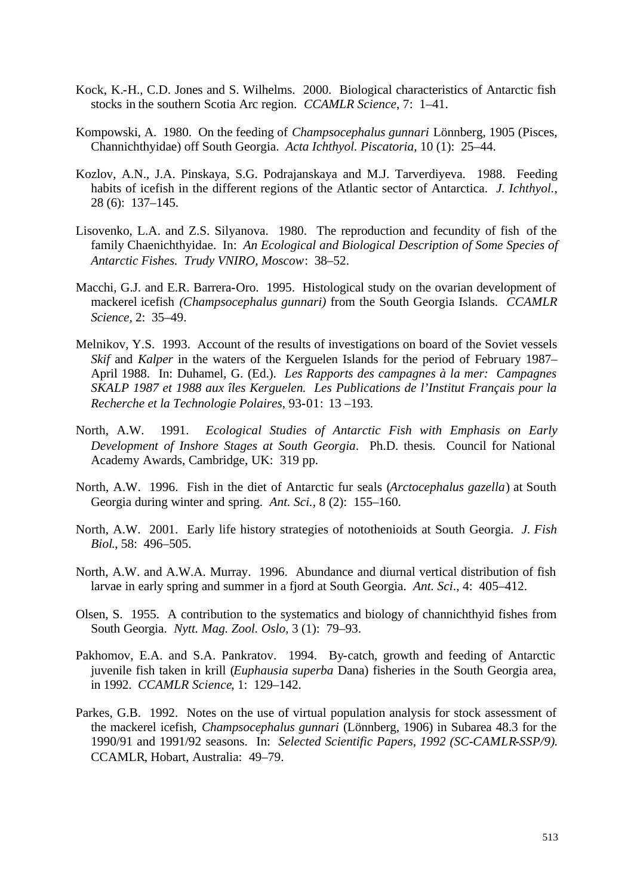- Kock, K.-H., C.D. Jones and S. Wilhelms. 2000. Biological characteristics of Antarctic fish stocks in the southern Scotia Arc region. *CCAMLR Science*, 7: 1–41.
- Kompowski, A. 1980. On the feeding of *Champsocephalus gunnari* Lönnberg, 1905 (Pisces, Channichthyidae) off South Georgia. *Acta Ichthyol. Piscatoria*, 10 (1): 25–44.
- Kozlov, A.N., J.A. Pinskaya, S.G. Podrajanskaya and M.J. Tarverdiyeva. 1988. Feeding habits of icefish in the different regions of the Atlantic sector of Antarctica. *J. Ichthyol.*, 28 (6): 137–145.
- Lisovenko, L.A. and Z.S. Silyanova. 1980. The reproduction and fecundity of fish of the family Chaenichthyidae. In: *An Ecological and Biological Description of Some Species of Antarctic Fishes. Trudy VNIRO, Moscow*: 38–52.
- Macchi, G.J. and E.R. Barrera-Oro. 1995. Histological study on the ovarian development of mackerel icefish *(Champsocephalus gunnari)* from the South Georgia Islands. *CCAMLR Science,* 2: 35–49.
- Melnikov, Y.S. 1993. Account of the results of investigations on board of the Soviet vessels *Skif* and *Kalper* in the waters of the Kerguelen Islands for the period of February 1987– April 1988. In: Duhamel, G. (Ed.). *Les Rapports des campagnes à la mer: Campagnes SKALP 1987 et 1988 aux îles Kerguelen. Les Publications de l'Institut Français pour la Recherche et la Technologie Polaires*, 93-01: 13 –193.
- North, A.W. 1991. *Ecological Studies of Antarctic Fish with Emphasis on Early Development of Inshore Stages at South Georgia*. Ph.D. thesis. Council for National Academy Awards, Cambridge, UK: 319 pp.
- North, A.W. 1996. Fish in the diet of Antarctic fur seals (*Arctocephalus gazella*) at South Georgia during winter and spring. *Ant. Sci.*, 8 (2): 155–160.
- North, A.W. 2001. Early life history strategies of notothenioids at South Georgia. *J. Fish Biol*., 58: 496–505.
- North, A.W. and A.W.A. Murray. 1996. Abundance and diurnal vertical distribution of fish larvae in early spring and summer in a fjord at South Georgia. *Ant. Sci*., 4: 405–412.
- Olsen, S. 1955. A contribution to the systematics and biology of channichthyid fishes from South Georgia. *Nytt. Mag. Zool. Oslo*, 3 (1): 79–93.
- Pakhomov, E.A. and S.A. Pankratov. 1994. By-catch, growth and feeding of Antarctic juvenile fish taken in krill (*Euphausia superba* Dana) fisheries in the South Georgia area, in 1992. *CCAMLR Science*, 1: 129–142.
- Parkes, G.B. 1992. Notes on the use of virtual population analysis for stock assessment of the mackerel icefish, *Champsocephalus gunnari* (Lönnberg, 1906) in Subarea 48.3 for the 1990/91 and 1991/92 seasons. In: *Selected Scientific Papers, 1992 (SC-CAMLR-SSP/9)*. CCAMLR, Hobart, Australia: 49–79.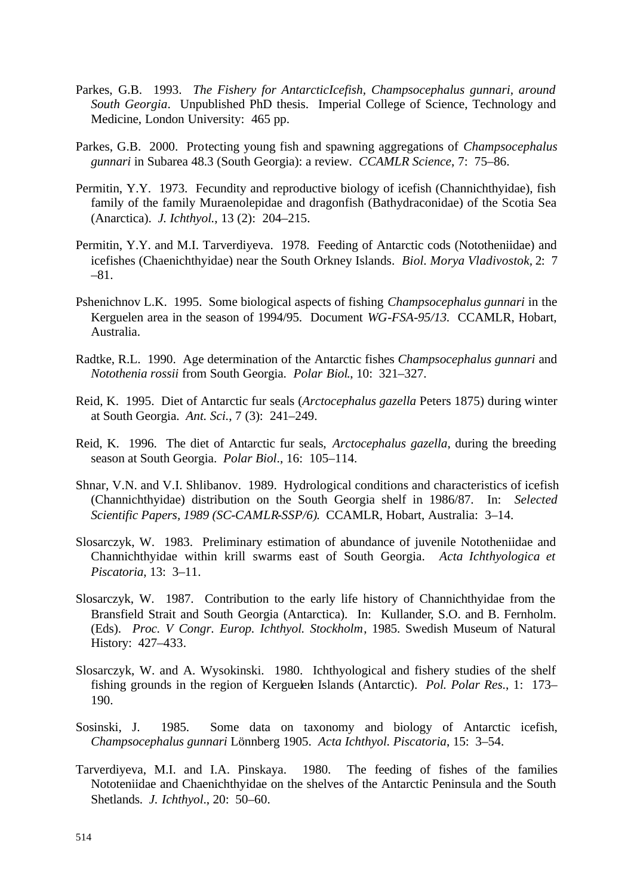- Parkes, G.B. 1993. *The Fishery for AntarcticIcefish, Champsocephalus gunnari, around South Georgia*. Unpublished PhD thesis. Imperial College of Science, Technology and Medicine, London University: 465 pp.
- Parkes, G.B. 2000. Protecting young fish and spawning aggregations of *Champsocephalus gunnari* in Subarea 48.3 (South Georgia): a review. *CCAMLR Science*, 7: 75–86.
- Permitin, Y.Y. 1973. Fecundity and reproductive biology of icefish (Channichthyidae), fish family of the family Muraenolepidae and dragonfish (Bathydraconidae) of the Scotia Sea (Anarctica). *J. Ichthyol.*, 13 (2): 204–215.
- Permitin, Y.Y. and M.I. Tarverdiyeva. 1978. Feeding of Antarctic cods (Nototheniidae) and icefishes (Chaenichthyidae) near the South Orkney Islands. *Biol. Morya Vladivostok,* 2: 7 –81.
- Pshenichnov L.K. 1995. Some biological aspects of fishing *Champsocephalus gunnari* in the Kerguelen area in the season of 1994/95. Document *WG-FSA-95/13.* CCAMLR, Hobart, Australia.
- Radtke, R.L. 1990. Age determination of the Antarctic fishes *Champsocephalus gunnari* and *Notothenia rossii* from South Georgia. *Polar Biol*., 10: 321–327.
- Reid, K. 1995. Diet of Antarctic fur seals (*Arctocephalus gazella* Peters 1875) during winter at South Georgia. *Ant. Sci.*, 7 (3): 241–249.
- Reid, K. 1996. The diet of Antarctic fur seals, *Arctocephalus gazella*, during the breeding season at South Georgia. *Polar Biol*., 16: 105–114.
- Shnar, V.N. and V.I. Shlibanov. 1989. Hydrological conditions and characteristics of icefish (Channichthyidae) distribution on the South Georgia shelf in 1986/87. In: *Selected Scientific Papers, 1989 (SC-CAMLR-SSP/6)*. CCAMLR, Hobart, Australia: 3–14.
- Slosarczyk, W. 1983. Preliminary estimation of abundance of juvenile Nototheniidae and Channichthyidae within krill swarms east of South Georgia. *Acta Ichthyologica et Piscatoria*, 13: 3–11.
- Slosarczyk, W. 1987. Contribution to the early life history of Channichthyidae from the Bransfield Strait and South Georgia (Antarctica). In: Kullander, S.O. and B. Fernholm. (Eds). *Proc. V Congr. Europ. Ichthyol. Stockholm*, 1985. Swedish Museum of Natural History: 427–433.
- Slosarczyk, W. and A. Wysokinski. 1980. Ichthyological and fishery studies of the shelf fishing grounds in the region of Kerguelen Islands (Antarctic). *Pol. Polar Res*., 1: 173– 190.
- Sosinski, J. 1985. Some data on taxonomy and biology of Antarctic icefish, *Champsocephalus gunnari* Lönnberg 1905. *Acta Ichthyol. Piscatoria*, 15: 3–54.
- Tarverdiyeva, M.I. and I.A. Pinskaya. 1980. The feeding of fishes of the families Nototeniidae and Chaenichthyidae on the shelves of the Antarctic Peninsula and the South Shetlands. *J. Ichthyol*., 20: 50–60.